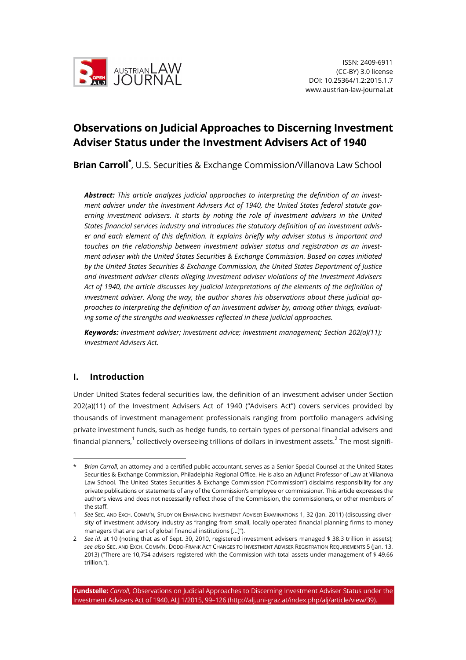

# **Observations on Judicial Approaches to Discerning Investment Adviser Status under the Investment Advisers Act of 1940**

Brian Carroll<sup>\*</sup>, U.S. Securities & Exchange Commission/Villanova Law School

*Abstract: This article analyzes judicial approaches to interpreting the definition of an investment adviser under the Investment Advisers Act of 1940, the United States federal statute governing investment advisers. It starts by noting the role of investment advisers in the United States financial services industry and introduces the statutory definition of an investment adviser and each element of this definition. It explains briefly why adviser status is important and touches on the relationship between investment adviser status and registration as an investment adviser with the United States Securities & Exchange Commission. Based on cases initiated by the United States Securities & Exchange Commission, the United States Department of Justice and investment adviser clients alleging investment adviser violations of the Investment Advisers Act of 1940, the article discusses key judicial interpretations of the elements of the definition of investment adviser. Along the way, the author shares his observations about these judicial approaches to interpreting the definition of an investment adviser by, among other things, evaluating some of the strengths and weaknesses reflected in these judicial approaches.*

*Keywords: investment adviser; investment advice; investment management; Section 202(a)(11); Investment Advisers Act.*

## **I. Introduction**

Under United States federal securities law, the definition of an investment adviser under Section 202(a)(11) of the Investment Advisers Act of 1940 ("Advisers Act") covers services provided by thousands of investment management professionals ranging from portfolio managers advising private investment funds, such as hedge funds, to certain types of personal financial advisers and financial planners,<sup>1</sup> collectively overseeing trillions of dollars in investment assets.<sup>2</sup> The most signifi-

<sup>\*</sup> *Brian Carroll*, an attorney and a certified public accountant, serves as a Senior Special Counsel at the United States Securities & Exchange Commission, Philadelphia Regional Office. He is also an Adjunct Professor of Law at Villanova Law School. The United States Securities & Exchange Commission ("Commission") disclaims responsibility for any private publications or statements of any of the Commission's employee or commissioner. This article expresses the author's views and does not necessarily reflect those of the Commission, the commissioners, or other members of the staff.

<sup>1</sup> *See* SEC. AND EXCH. COMM'N, STUDY ON ENHANCING INVESTMENT ADVISER EXAMINATIONS 1, 32 (Jan. 2011) (discussing diversity of investment advisory industry as "ranging from small, locally-operated financial planning firms to money managers that are part of global financial institutions [...]").

<sup>2</sup> *See id.* at 10 (noting that as of Sept. 30, 2010, registered investment advisers managed \$ 38.3 trillion in assets); *see also* SEC. AND EXCH. COMM'N, DODD-FRANK ACT CHANGES TO INVESTMENT ADVISER REGISTRATION REQUIREMENTS 5 (Jan. 13, 2013) ("There are 10,754 advisers registered with the Commission with total assets under management of \$ 49.66 trillion.").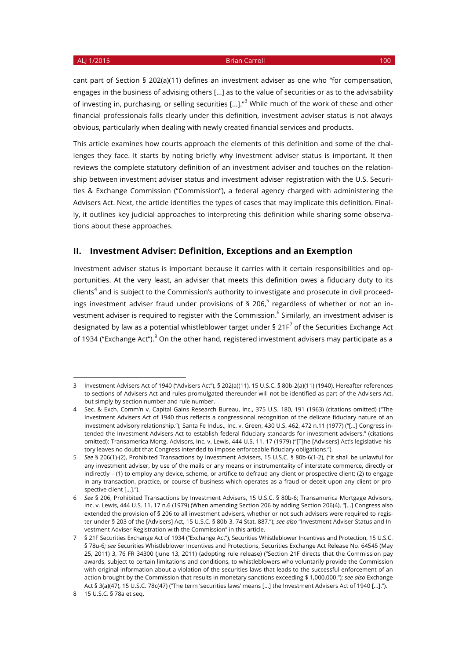cant part of Section § 202(a)(11) defines an investment adviser as one who "for compensation, engages in the business of advising others [...] as to the value of securities or as to the advisability of investing in, purchasing, or selling securities [...]."<sup>3</sup> While much of the work of these and other financial professionals falls clearly under this definition, investment adviser status is not always obvious, particularly when dealing with newly created financial services and products.

This article examines how courts approach the elements of this definition and some of the challenges they face. It starts by noting briefly why investment adviser status is important. It then reviews the complete statutory definition of an investment adviser and touches on the relationship between investment adviser status and investment adviser registration with the U.S. Securities & Exchange Commission ("Commission"), a federal agency charged with administering the Advisers Act. Next, the article identifies the types of cases that may implicate this definition. Finally, it outlines key judicial approaches to interpreting this definition while sharing some observations about these approaches.

### **II. Investment Adviser: Definition, Exceptions and an Exemption**

Investment adviser status is important because it carries with it certain responsibilities and opportunities. At the very least, an adviser that meets this definition owes a fiduciary duty to its clients<sup>4</sup> and is subject to the Commission's authority to investigate and prosecute in civil proceedings investment adviser fraud under provisions of § 206,<sup>5</sup> regardless of whether or not an investment adviser is required to register with the Commission.<sup>6</sup> Similarly, an investment adviser is designated by law as a potential whistleblower target under § 21 $F<sup>7</sup>$  of the Securities Exchange Act of 1934 ("Exchange Act").<sup>8</sup> On the other hand, registered investment advisers may participate as a

<sup>3</sup> Investment Advisers Act of 1940 ("Advisers Act"), § 202(a)(11), 15 U.S.C. § 80b-2(a)(11) (1940). Hereafter references to sections of Advisers Act and rules promulgated thereunder will not be identified as part of the Advisers Act, but simply by section number and rule number.

<sup>4</sup> Sec. & Exch. Comm'n v. Capital Gains Research Bureau, Inc., 375 U.S. 180, 191 (1963) (citations omitted) ("The Investment Advisers Act of 1940 thus reflects a congressional recognition of the delicate fiduciary nature of an investment advisory relationship."); Santa Fe Indus., Inc. v. Green, 430 U.S. 462, 472 n.11 (1977) ("[…] Congress intended the Investment Advisers Act to establish federal fiduciary standards for investment advisers." (citations omitted); Transamerica Mortg. Advisors, Inc. v. Lewis, 444 U.S. 11, 17 (1979) ("[T]he [Advisers] Act's legislative history leaves no doubt that Congress intended to impose enforceable fiduciary obligations.").

<sup>5</sup> *See* § 206(1)-(2), Prohibited Transactions by Investment Advisers, 15 U.S.C. § 80b-6(1-2), ("It shall be unlawful for any investment adviser, by use of the mails or any means or instrumentality of interstate commerce, directly or indirectly – (1) to employ any device, scheme, or artifice to defraud any client or prospective client; (2) to engage in any transaction, practice, or course of business which operates as a fraud or deceit upon any client or prospective client […].").

<sup>6</sup> *See* § 206, Prohibited Transactions by Investment Advisers, 15 U.S.C. § 80b-6; Transamerica Mortgage Advisors, Inc. v. Lewis, 444 U.S. 11, 17 n.6 (1979) (When amending Section 206 by adding Section 206(4), "[…] Congress also extended the provision of § 206 to all investment advisers, whether or not such advisers were required to register under § 203 of the [Advisers] Act, 15 U.S.C. § 80b-3. 74 Stat. 887."); *see also* "Investment Adviser Status and Investment Adviser Registration with the Commission" in this article.

<sup>7</sup> § 21F Securities Exchange Act of 1934 ("Exchange Act"), Securities Whistleblower Incentives and Protection, 15 U.S.C. § 78u-6*; see* Securities Whistleblower Incentives and Protections, Securities Exchange Act Release No. 64545 (May 25, 2011) 3, 76 FR 34300 (June 13, 2011) (adopting rule release) ("Section 21F directs that the Commission pay awards, subject to certain limitations and conditions, to whistleblowers who voluntarily provide the Commission with original information about a violation of the securities laws that leads to the successful enforcement of an action brought by the Commission that results in monetary sanctions exceeding \$ 1,000,000."); *see also* Exchange Act § 3(a)(47), 15 U.S.C. 78c(47) ("The term 'securities laws' means [...] the Investment Advisers Act of 1940 [...].").

<sup>8</sup> 15 U.S.C. § 78a et seq.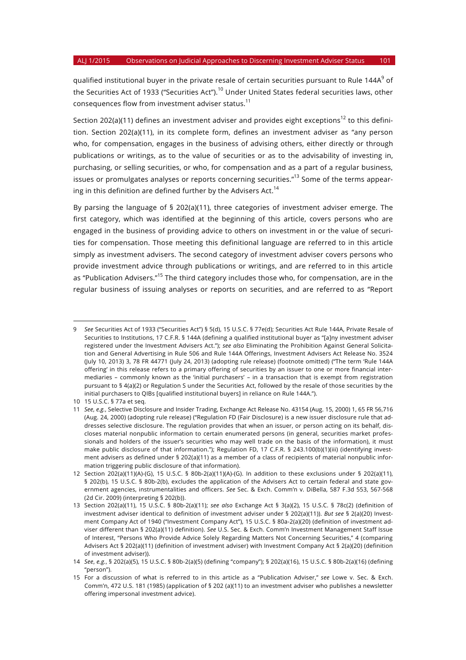qualified institutional buyer in the private resale of certain securities pursuant to Rule 144A<sup>9</sup> of the Securities Act of 1933 ("Securities Act").<sup>10</sup> Under United States federal securities laws, other consequences flow from investment adviser status.<sup>11</sup>

Section 202(a)(11) defines an investment adviser and provides eight exceptions<sup>12</sup> to this definition. Section 202(a)(11), in its complete form, defines an investment adviser as "any person who, for compensation, engages in the business of advising others, either directly or through publications or writings, as to the value of securities or as to the advisability of investing in, purchasing, or selling securities, or who, for compensation and as a part of a regular business, issues or promulgates analyses or reports concerning securities."<sup>13</sup> Some of the terms appearing in this definition are defined further by the Advisers Act.<sup>14</sup>

By parsing the language of § 202(a)(11), three categories of investment adviser emerge. The first category, which was identified at the beginning of this article, covers persons who are engaged in the business of providing advice to others on investment in or the value of securities for compensation. Those meeting this definitional language are referred to in this article simply as investment advisers. The second category of investment adviser covers persons who provide investment advice through publications or writings, and are referred to in this article as "Publication Advisers."<sup>15</sup> The third category includes those who, for compensation, are in the regular business of issuing analyses or reports on securities, and are referred to as "Report

<sup>9</sup> *See* Securities Act of 1933 ("Securities Act") § 5(d), 15 U.S.C. § 77e(d); Securities Act Rule 144A, Private Resale of Securities to Institutions, 17 C.F.R. § 144A (defining a qualified institutional buyer as "[a]ny investment adviser registered under the Investment Advisers Act."); *see also* Eliminating the Prohibition Against General Solicitation and General Advertising in Rule 506 and Rule 144A Offerings, Investment Advisers Act Release No. 3524 (July 10, 2013) 3, 78 FR 44771 (July 24, 2013) (adopting rule release) (footnote omitted) ("The term 'Rule 144A offering' in this release refers to a primary offering of securities by an issuer to one or more financial intermediaries – commonly known as the 'initial purchasers' – in a transaction that is exempt from registration pursuant to § 4(a)(2) or Regulation S under the Securities Act, followed by the resale of those securities by the initial purchasers to QIBs [qualified institutional buyers] in reliance on Rule 144A.").

<sup>10</sup> 15 U.S.C. § 77a et seq.

<sup>11</sup> *See*, *e.g.*, Selective Disclosure and Insider Trading, Exchange Act Release No. 43154 (Aug. 15, 2000) 1, 65 FR 56,716 (Aug. 24, 2000) (adopting rule release) ("Regulation FD (Fair Disclosure) is a new issuer disclosure rule that addresses selective disclosure. The regulation provides that when an issuer, or person acting on its behalf, discloses material nonpublic information to certain enumerated persons (in general, securities market professionals and holders of the issuer's securities who may well trade on the basis of the information), it must make public disclosure of that information."); Regulation FD, 17 C.F.R. § 243.100(b)(1)(iii) (identifying investment advisers as defined under § 202(a)(11) as a member of a class of recipients of material nonpublic information triggering public disclosure of that information).

<sup>12</sup> Section 202(a)(11)(A)-(G), 15 U.S.C. § 80b-2(a)(11)(A)-(G). In addition to these exclusions under § 202(a)(11), § 202(b), 15 U.S.C. § 80b-2(b), excludes the application of the Advisers Act to certain federal and state government agencies, instrumentalities and officers. *See* Sec. & Exch. Comm'n v. DiBella, 587 F.3d 553, 567-568 (2d Cir. 2009) (interpreting § 202(b)).

<sup>13</sup> Section 202(a)(11), 15 U.S.C. § 80b-2(a)(11); *see also* Exchange Act § 3(a)(2), 15 U.S.C. § 78c(2) (definition of investment adviser identical to definition of investment adviser under § 202(a)(11)). *But see* § 2(a)(20) Investment Company Act of 1940 ("Investment Company Act"), 15 U.S.C. § 80a-2(a)(20) (definition of investment adviser different than § 202(a)(11) definition). *See* U.S. Sec. & Exch. Comm'n Investment Management Staff Issue of Interest, "Persons Who Provide Advice Solely Regarding Matters Not Concerning Securities," 4 (comparing Advisers Act § 202(a)(11) (definition of investment adviser) with Investment Company Act § 2(a)(20) (definition of investment adviser)).

<sup>14</sup> *See*, *e.g.*, § 202(a)(5), 15 U.S.C. § 80b-2(a)(5) (defining "company"); § 202(a)(16), 15 U.S.C. § 80b-2(a)(16) (defining "person").

<sup>15</sup> For a discussion of what is referred to in this article as a "Publication Adviser," *see* Lowe v. Sec. & Exch. Comm'n, 472 U.S. 181 (1985) (application of § 202 (a)(11) to an investment adviser who publishes a newsletter offering impersonal investment advice).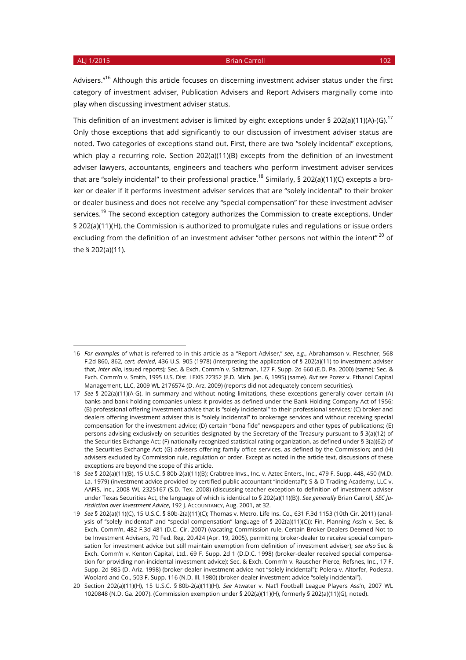#### ALJ 1/2015 **Brian Carroll 102** Brian Carroll 102 and 102 and 102 and 102 and 102 and 102 and 102 and 102 and 102

Advisers."<sup>16</sup> Although this article focuses on discerning investment adviser status under the first category of investment adviser, Publication Advisers and Report Advisers marginally come into play when discussing investment adviser status.

This definition of an investment adviser is limited by eight exceptions under § 202(a)(11)(A)-(G).<sup>17</sup> Only those exceptions that add significantly to our discussion of investment adviser status are noted. Two categories of exceptions stand out. First, there are two "solely incidental" exceptions, which play a recurring role. Section 202(a)(11)(B) excepts from the definition of an investment adviser lawyers, accountants, engineers and teachers who perform investment adviser services that are "solely incidental" to their professional practice.<sup>18</sup> Similarly, § 202(a)(11)(C) excepts a broker or dealer if it performs investment adviser services that are "solely incidental" to their broker or dealer business and does not receive any "special compensation" for these investment adviser services.<sup>19</sup> The second exception category authorizes the Commission to create exceptions. Under § 202(a)(11)(H), the Commission is authorized to promulgate rules and regulations or issue orders excluding from the definition of an investment adviser "other persons not within the intent"<sup>20</sup> of the § 202(a)(11).

<sup>16</sup> *For examples* of what is referred to in this article as a "Report Adviser," *see*, *e.g.*, Abrahamson v. Fleschner, 568 F.2d 860, 862, *cert. denied*, 436 U.S. 905 (1978) (interpreting the application of § 202(a)(11) to investment adviser that, *inter alia*, issued reports); Sec. & Exch. Comm'n v. Saltzman, 127 F. Supp. 2d 660 (E.D. Pa. 2000) (same); Sec. & Exch. Comm'n v. Smith, 1995 U.S. Dist. LEXIS 22352 (E.D. Mich. Jan. 6, 1995) (same). *But see* Pozez v. Ethanol Capital Management, LLC, 2009 WL 2176574 (D. Arz. 2009) (reports did not adequately concern securities).

<sup>17</sup> *See* § 202(a)(11)(A-G). In summary and without noting limitations, these exceptions generally cover certain (A) banks and bank holding companies unless it provides as defined under the Bank Holding Company Act of 1956; (B) professional offering investment advice that is "solely incidental" to their professional services; (C) broker and dealers offering investment adviser this is "solely incidental" to brokerage services and without receiving special compensation for the investment advice; (D) certain "bona fide" newspapers and other types of publications; (E) persons advising exclusively on securities designated by the Secretary of the Treasury pursuant to § 3(a)(12) of the Securities Exchange Act; (F) nationally recognized statistical rating organization, as defined under § 3(a)(62) of the Securities Exchange Act; (G) advisers offering family office services, as defined by the Commission; and (H) advisers excluded by Commission rule, regulation or order. Except as noted in the article text, discussions of these exceptions are beyond the scope of this article.

<sup>18</sup> *See* § 202(a)(11)(B), 15 U.S.C. § 80b-2(a)(11)(B); Crabtree Invs., Inc. v. Aztec Enters., Inc., 479 F. Supp. 448, 450 (M.D. La. 1979) (investment advice provided by certified public accountant "incidental"); S & D Trading Academy, LLC v. AAFIS, Inc., 2008 WL 2325167 (S.D. Tex. 2008) (discussing teacher exception to definition of investment adviser under Texas Securities Act, the language of which is identical to § 202(a)(11)(B)). *See generally* Brian Carroll, *SEC Jurisdiction over Investment Advice*, 192 J. ACCOUNTANCY, Aug. 2001, at 32.

<sup>19</sup> *See* § 202(a)(11)(C), 15 U.S.C. § 80b-2(a)(11)(C); Thomas v. Metro. Life Ins. Co., 631 F.3d 1153 (10th Cir. 2011) (analysis of "solely incidental" and "special compensation" language of § 202(a)(11)(C)); Fin. Planning Ass'n v. Sec. & Exch. Comm'n, 482 F.3d 481 (D.C. Cir. 2007) (vacating Commission rule, Certain Broker-Dealers Deemed Not to be Investment Advisers, 70 Fed. Reg. 20,424 (Apr. 19, 2005), permitting broker-dealer to receive special compensation for investment advice but still maintain exemption from definition of investment adviser); *see also* Sec & Exch. Comm'n v. Kenton Capital, Ltd., 69 F. Supp. 2d 1 (D.D.C. 1998) (broker-dealer received special compensation for providing non-incidental investment advice); Sec. & Exch. Comm'n v. Rauscher Pierce, Refsnes, Inc., 17 F. Supp. 2d 985 (D. Ariz. 1998) (broker-dealer investment advice not "solely incidental"); Polera v. Altorfer, Podesta, Woolard and Co., 503 F. Supp. 116 (N.D. Ill. 1980) (broker-dealer investment advice "solely incidental").

<sup>20</sup> Section 202(a)(11)(H), 15 U.S.C. § 80b-2(a)(11)(H). *See* Atwater v. Nat'l Football League Players Ass'n, 2007 WL 1020848 (N.D. Ga. 2007). (Commission exemption under § 202(a)(11)(H), formerly § 202(a)(11)(G), noted).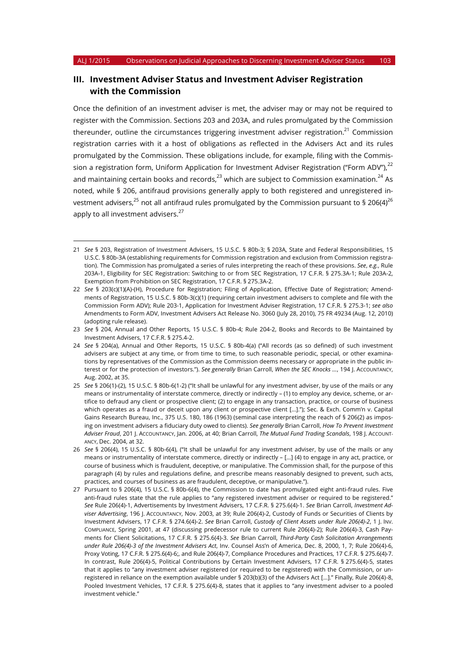## **III. Investment Adviser Status and Investment Adviser Registration with the Commission**

Once the definition of an investment adviser is met, the adviser may or may not be required to register with the Commission. Sections 203 and 203A, and rules promulgated by the Commission thereunder, outline the circumstances triggering investment adviser registration.<sup>21</sup> Commission registration carries with it a host of obligations as reflected in the Advisers Act and its rules promulgated by the Commission. These obligations include, for example, filing with the Commission a registration form, Uniform Application for Investment Adviser Registration ("Form ADV"), $^{22}$ and maintaining certain books and records, $^{23}$  which are subject to Commission examination. $^{24}$  As noted, while § 206, antifraud provisions generally apply to both registered and unregistered investment advisers, $^{25}$  not all antifraud rules promulgated by the Commission pursuant to § 206(4)<sup>26</sup> apply to all investment advisers. $27$ 

<sup>21</sup> *See* § 203, Registration of Investment Advisers, 15 U.S.C. § 80b-3; § 203A, State and Federal Responsibilities, 15 U.S.C. § 80b-3A (establishing requirements for Commission registration and exclusion from Commission registration). The Commission has promulgated a series of rules interpreting the reach of these provisions. *See*, *e.g.*, Rule 203A-1, Eligibility for SEC Registration: Switching to or from SEC Registration, 17 C.F.R. § 275.3A-1; Rule 203A-2, Exemption from Prohibition on SEC Registration, 17 C.F.R. § 275.3A-2.

<sup>22</sup> *See* § 203(c)(1)(A)-(H), Procedure for Registration; Filing of Application, Effective Date of Registration; Amendments of Registration, 15 U.S.C. § 80b-3(c)(1) (requiring certain investment advisers to complete and file with the Commission Form ADV); Rule 203-1, Application for Investment Adviser Registration, 17 C.F.R. § 275.3-1; *see also* Amendments to Form ADV, Investment Advisers Act Release No. 3060 (July 28, 2010), 75 FR 49234 (Aug. 12, 2010) (adopting rule release).

<sup>23</sup> *See* § 204, Annual and Other Reports, 15 U.S.C. § 80b-4; Rule 204-2, Books and Records to Be Maintained by Investment Advisers, 17 C.F.R. § 275.4-2.

<sup>24</sup> *See* § 204(a), Annual and Other Reports, 15 U.S.C. § 80b-4(a) ("All records (as so defined) of such investment advisers are subject at any time, or from time to time, to such reasonable periodic, special, or other examinations by representatives of the Commission as the Commission deems necessary or appropriate in the public interest or for the protection of investors."). *See generally* Brian Carroll, *When the SEC Knocks …*, 194 J. ACCOUNTANCY, Aug. 2002, at 35.

<sup>25</sup> *See* § 206(1)-(2), 15 U.S.C. § 80b-6(1-2) ("It shall be unlawful for any investment adviser, by use of the mails or any means or instrumentality of interstate commerce, directly or indirectly – (1) to employ any device, scheme, or artifice to defraud any client or prospective client; (2) to engage in any transaction, practice, or course of business which operates as a fraud or deceit upon any client or prospective client [...]."); Sec. & Exch. Comm'n v. Capital Gains Research Bureau, Inc., 375 U.S. 180, 186 (1963) (seminal case interpreting the reach of § 206(2) as imposing on investment advisers a fiduciary duty owed to clients). *See generally* Brian Carroll, *How To Prevent Investment Adviser Fraud*, 201 J. ACCOUNTANCY, Jan. 2006, at 40; Brian Carroll, *The Mutual Fund Trading Scandals*, 198 J. ACCOUNT-ANCY, Dec. 2004, at 32.

<sup>26</sup> *See* § 206(4), 15 U.S.C. § 80b-6(4), ("It shall be unlawful for any investment adviser, by use of the mails or any means or instrumentality of interstate commerce, directly or indirectly – […] (4) to engage in any act, practice, or course of business which is fraudulent, deceptive, or manipulative. The Commission shall, for the purpose of this paragraph (4) by rules and regulations define, and prescribe means reasonably designed to prevent, such acts, practices, and courses of business as are fraudulent, deceptive, or manipulative.").

<sup>27</sup> Pursuant to § 206(4), 15 U.S.C. § 80b-6(4), the Commission to date has promulgated eight anti-fraud rules. Five anti-fraud rules state that the rule applies to "any registered investment adviser or required to be registered." *See* Rule 206(4)-1, Advertisements by Investment Advisers, 17 C.F.R. § 275.6(4)-1. *See* Brian Carroll, *Investment Adviser Advertising*, 196 J. ACCOUNTANCY, Nov. 2003, at 39; Rule 206(4)-2, Custody of Funds or Securities of Clients by Investment Advisers, 17 C.F.R. § 274.6(4)-2. *See* Brian Carroll, *Custody of Client Assets under Rule 206(4)-2*, 1 J. INV. COMPLIANCE, Spring 2001, at 47 (discussing predecessor rule to current Rule 206(4)-2); Rule 206(4)-3, Cash Payments for Client Solicitations, 17 C.F.R. § 275.6(4)-3. *See* Brian Carroll, *Third-Party Cash Solicitation Arrangements under Rule 206(4)-3 of the Investment Advisers Act*, Inv. Counsel Ass'n of America, Dec. 8, 2000, 1, 7; Rule 206(4)-6, Proxy Voting, 17 C.F.R. § 275.6(4)-6;, and Rule 206(4)-7, Compliance Procedures and Practices, 17 C.F.R. § 275.6(4)-7. In contrast, Rule 206(4)-5, Political Contributions by Certain Investment Advisers, 17 C.F.R. § 275.6(4)-5, states that it applies to "any investment adviser registered (or required to be registered) with the Commission, or unregistered in reliance on the exemption available under § 203(b)(3) of the Advisers Act […]." Finally, Rule 206(4)-8, Pooled Investment Vehicles, 17 C.F.R. § 275.6(4)-8, states that it applies to "any investment adviser to a pooled investment vehicle."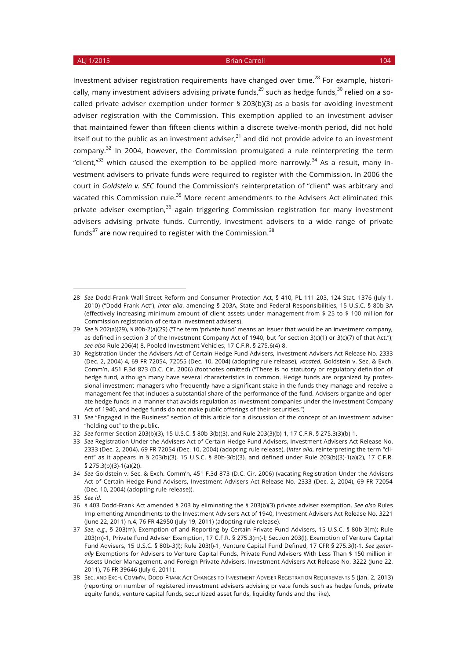Investment adviser registration requirements have changed over time.<sup>28</sup> For example, historically, many investment advisers advising private funds,  $29$  such as hedge funds,  $30$  relied on a socalled private adviser exemption under former § 203(b)(3) as a basis for avoiding investment adviser registration with the Commission. This exemption applied to an investment adviser that maintained fewer than fifteen clients within a discrete twelve-month period, did not hold itself out to the public as an investment adviser, $31$  and did not provide advice to an investment company. $32$  In 2004, however, the Commission promulgated a rule reinterpreting the term "client, $n^{33}$  which caused the exemption to be applied more narrowly.<sup>34</sup> As a result, many investment advisers to private funds were required to register with the Commission. In 2006 the court in *Goldstein v. SEC* found the Commission's reinterpretation of "client" was arbitrary and vacated this Commission rule.<sup>35</sup> More recent amendments to the Advisers Act eliminated this private adviser exemption,<sup>36</sup> again triggering Commission registration for many investment advisers advising private funds. Currently, investment advisers to a wide range of private funds $37$  are now required to register with the Commission. $38$ 

<sup>28</sup> *See* Dodd-Frank Wall Street Reform and Consumer Protection Act, § 410, PL 111-203, 124 Stat. 1376 (July 1, 2010) ("Dodd-Frank Act"), *inter alia*, amending § 203A, State and Federal Responsibilities, 15 U.S.C. § 80b-3A (effectively increasing minimum amount of client assets under management from \$ 25 to \$ 100 million for Commission registration of certain investment advisers).

<sup>29</sup> *See* § 202(a)(29), § 80b-2(a)(29) ("The term 'private fund' means an issuer that would be an investment company, as defined in section 3 of the Investment Company Act of 1940, but for section 3(c)(1) or 3(c)(7) of that Act."); *see also* Rule 206(4)-8, Pooled Investment Vehicles, 17 C.F.R. § 275.6(4)-8.

<sup>30</sup> Registration Under the Advisers Act of Certain Hedge Fund Advisers, Investment Advisers Act Release No. 2333 (Dec. 2, 2004) 4, 69 FR 72054, 72055 (Dec. 10, 2004) (adopting rule release), *vacated*, Goldstein v. Sec. & Exch. Comm'n, 451 F.3d 873 (D.C. Cir. 2006) (footnotes omitted) ("There is no statutory or regulatory definition of hedge fund, although many have several characteristics in common. Hedge funds are organized by professional investment managers who frequently have a significant stake in the funds they manage and receive a management fee that includes a substantial share of the performance of the fund. Advisers organize and operate hedge funds in a manner that avoids regulation as investment companies under the Investment Company Act of 1940, and hedge funds do not make public offerings of their securities.")

<sup>31</sup> *See* "Engaged in the Business" section of this article for a discussion of the concept of an investment adviser "holding out" to the public.

<sup>32</sup> *See* former Section 203(b)(3), 15 U.S.C. § 80b-3(b)(3), and Rule 203(3)(b)-1, 17 C.F.R. § 275.3(3)(b)-1.

<sup>33</sup> *See* Registration Under the Advisers Act of Certain Hedge Fund Advisers, Investment Advisers Act Release No. 2333 (Dec. 2, 2004), 69 FR 72054 (Dec. 10, 2004) (adopting rule release), (*inter alia*, reinterpreting the term "client" as it appears in § 203(b)(3), 15 U.S.C. § 80b-3(b)(3), and defined under Rule 203(b)(3)-1(a)(2), 17 C.F.R. § 275.3(b)(3)-1(a)(2)).

<sup>34</sup> *See* Goldstein v. Sec. & Exch. Comm'n, 451 F.3d 873 (D.C. Cir. 2006) (vacating Registration Under the Advisers Act of Certain Hedge Fund Advisers, Investment Advisers Act Release No. 2333 (Dec. 2, 2004), 69 FR 72054 (Dec. 10, 2004) (adopting rule release)).

<sup>35</sup> *See id.*

<sup>36</sup> § 403 Dodd-Frank Act amended § 203 by eliminating the § 203(b)(3) private adviser exemption. *See also* Rules Implementing Amendments to the Investment Advisers Act of 1940, Investment Advisers Act Release No. 3221 (June 22, 2011) n.4, 76 FR 42950 (July 19, 2011) (adopting rule release).

<sup>37</sup> *See*, *e.g.*, § 203(m), Exemption of and Reporting by Certain Private Fund Advisers, 15 U.S.C. § 80b-3(m); Rule 203(m)-1, Private Fund Adviser Exemption, 17 C.F.R. § 275.3(m)-l; Section 203(l), Exemption of Venture Capital Fund Advisers, 15 U.S.C. § 80b-3(l); Rule 203(l)-1, Venture Capital Fund Defined, 17 CFR § 275.3(l)-1. *See generally* Exemptions for Advisers to Venture Capital Funds, Private Fund Advisers With Less Than \$ 150 million in Assets Under Management, and Foreign Private Advisers, Investment Advisers Act Release No. 3222 (June 22, 2011), 76 FR 39646 (July 6, 2011).

<sup>38</sup> SEC. AND EXCH. COMM'N, DODD-FRANK ACT CHANGES TO INVESTMENT ADVISER REGISTRATION REQUIREMENTS 5 (Jan. 2, 2013) (reporting on number of registered investment advisers advising private funds such as hedge funds, private equity funds, venture capital funds, securitized asset funds, liquidity funds and the like).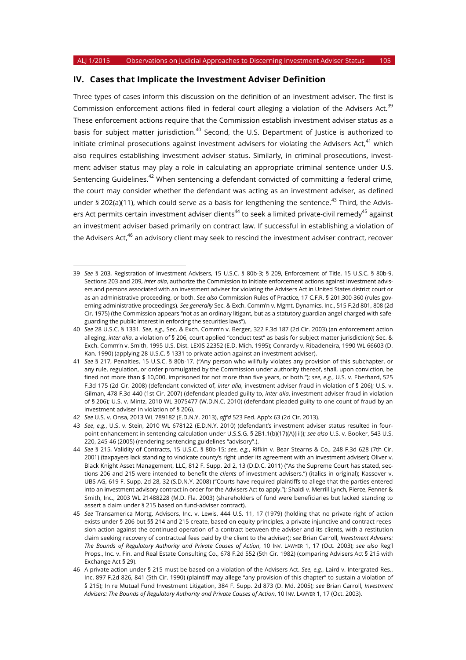### **IV. Cases that Implicate the Investment Adviser Definition**

Three types of cases inform this discussion on the definition of an investment adviser. The first is Commission enforcement actions filed in federal court alleging a violation of the Advisers Act.<sup>39</sup> These enforcement actions require that the Commission establish investment adviser status as a basis for subject matter jurisdiction.<sup>40</sup> Second, the U.S. Department of Justice is authorized to initiate criminal prosecutions against investment advisers for violating the Advisers Act, $^{41}$  which also requires establishing investment adviser status. Similarly, in criminal prosecutions, investment adviser status may play a role in calculating an appropriate criminal sentence under U.S. Sentencing Guidelines.<sup>42</sup> When sentencing a defendant convicted of committing a federal crime, the court may consider whether the defendant was acting as an investment adviser, as defined under § 202(a)(11), which could serve as a basis for lengthening the sentence.<sup>43</sup> Third, the Advisers Act permits certain investment adviser clients<sup>44</sup> to seek a limited private-civil remedy<sup>45</sup> against an investment adviser based primarily on contract law. If successful in establishing a violation of the Advisers Act,<sup>46</sup> an advisory client may seek to rescind the investment adviser contract, recover

<sup>39</sup> *See* § 203, Registration of Investment Advisers, 15 U.S.C. § 80b-3; § 209, Enforcement of Title, 15 U.S.C. § 80b-9. Sections 203 and 209, *inter alia*, authorize the Commission to initiate enforcement actions against investment advisers and persons associated with an investment adviser for violating the Advisers Act in United States district court or as an administrative proceeding, or both. *See also* Commission Rules of Practice, 17 C.F.R. § 201.300-360 (rules governing administrative proceedings). *See generally* Sec. & Exch. Comm'n v. Mgmt. Dynamics, Inc., 515 F.2d 801, 808 (2d Cir. 1975) (the Commission appears "not as an ordinary litigant, but as a statutory guardian angel charged with safeguarding the public interest in enforcing the securities laws").

<sup>40</sup> *See* 28 U.S.C. § 1331. *See*, *e.g.*, Sec. & Exch. Comm'n v. Berger, 322 F.3d 187 (2d Cir. 2003) (an enforcement action alleging, *inter alia*, a violation of § 206, court applied "conduct test" as basis for subject matter jurisdiction); Sec. & Exch. Comm'n v. Smith, 1995 U.S. Dist. LEXIS 22352 (E.D. Mich. 1995); Conrardy v. Ribadeneira, 1990 WL 66603 (D. Kan. 1990) (applying 28 U.S.C. § 1331 to private action against an investment adviser).

<sup>41</sup> *See* § 217, Penalties, 15 U.S.C. § 80b-17. ("Any person who willfully violates any provision of this subchapter, or any rule, regulation, or order promulgated by the Commission under authority thereof, shall, upon conviction, be fined not more than \$ 10,000, imprisoned for not more than five years, or both."); *see*, *e.g.*, U.S. v. Eberhard, 525 F.3d 175 (2d Cir. 2008) (defendant convicted of, *inter alia*, investment adviser fraud in violation of § 206); U.S. v. Gilman, 478 F.3d 440 (1st Cir. 2007) (defendant pleaded guilty to, *inter alia*, investment adviser fraud in violation of § 206); U.S. v. Mintz, 2010 WL 3075477 (W.D.N.C. 2010) (defendant pleaded guilty to one count of fraud by an investment adviser in violation of § 206).

<sup>42</sup> *See* U.S. v. Onsa, 2013 WL 789182 (E.D.N.Y. 2013), *aff'd* 523 Fed. App'x 63 (2d Cir. 2013).

<sup>43</sup> *See*, *e.g.*, U.S. v. Stein, 2010 WL 678122 (E.D.N.Y. 2010) (defendant's investment adviser status resulted in fourpoint enhancement in sentencing calculation under U.S.S.G. § 2B1.1(b)(17)(A)(iii)); *see also* U.S. v. Booker, 543 U.S. 220, 245-46 (2005) (rendering sentencing guidelines "advisory".).

<sup>44</sup> *See* § 215, Validity of Contracts, 15 U.S.C. § 80b-15; *see*, *e.g.*, Rifkin v. Bear Stearns & Co., 248 F.3d 628 (7th Cir. 2001) (taxpayers lack standing to vindicate county's right under its agreement with an investment adviser); Oliver v. Black Knight Asset Management, LLC, 812 F. Supp. 2d 2, 13 (D.D.C. 2011) ("As the Supreme Court has stated, sections 206 and 215 were intended to benefit the *clients* of investment advisers.") (italics in original); Kassover v. UBS AG, 619 F. Supp. 2d 28, 32 (S.D.N.Y. 2008) ("Courts have required plaintiffs to allege that the parties entered into an investment advisory contract in order for the Advisers Act to apply."); Shaidi v. Merrill Lynch, Pierce, Fenner & Smith, Inc., 2003 WL 21488228 (M.D. Fla. 2003) (shareholders of fund were beneficiaries but lacked standing to assert a claim under § 215 based on fund-adviser contract).

<sup>45</sup> *See* Transamerica Mortg. Advisors, Inc. v. Lewis, 444 U.S. 11, 17 (1979) (holding that no private right of action exists under § 206 but §§ 214 and 215 create, based on equity principles, a private injunctive and contract recession action against the continued operation of a contract between the adviser and its clients, with a restitution claim seeking recovery of contractual fees paid by the client to the adviser); *see* Brian Carroll, *Investment Advisers: The Bounds of Regulatory Authority and Private Causes of Action*, 10 INV. LAWYER 1, 17 (Oct. 2003); *see also* Reg'l Props., Inc. v. Fin. and Real Estate Consulting Co., 678 F.2d 552 (5th Cir. 1982) (comparing Advisers Act § 215 with Exchange Act § 29).

<sup>46</sup> A private action under § 215 must be based on a violation of the Advisers Act. *See*, *e.g.*, Laird v. Intergrated Res., Inc. 897 F.2d 826, 841 (5th Cir. 1990) (plaintiff may allege "any provision of this chapter" to sustain a violation of § 215); In re Mutual Fund Investment Litigation, 384 F. Supp. 2d 873 (D. Md. 2005); *see* Brian Carroll, *Investment Advisers: The Bounds of Regulatory Authority and Private Causes of Action*, 10 INV. LAWYER 1, 17 (Oct. 2003).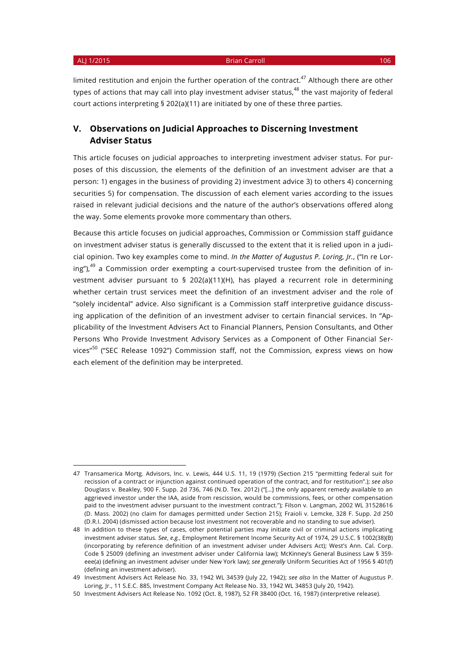#### ALJ 1/2015 **Brian Carroll 106**

limited restitution and enjoin the further operation of the contract. $47$  Although there are other types of actions that may call into play investment adviser status,<sup>48</sup> the vast majority of federal court actions interpreting § 202(a)(11) are initiated by one of these three parties.

## **V. Observations on Judicial Approaches to Discerning Investment Adviser Status**

This article focuses on judicial approaches to interpreting investment adviser status. For purposes of this discussion, the elements of the definition of an investment adviser are that a person: 1) engages in the business of providing 2) investment advice 3) to others 4) concerning securities 5) for compensation. The discussion of each element varies according to the issues raised in relevant judicial decisions and the nature of the author's observations offered along the way. Some elements provoke more commentary than others.

Because this article focuses on judicial approaches, Commission or Commission staff guidance on investment adviser status is generally discussed to the extent that it is relied upon in a judicial opinion. Two key examples come to mind. *In the Matter of Augustus P. Loring, Jr.*, ("In re Loring"), $49$  a Commission order exempting a court-supervised trustee from the definition of investment adviser pursuant to § 202(a)(11)(H), has played a recurrent role in determining whether certain trust services meet the definition of an investment adviser and the role of "solely incidental" advice. Also significant is a Commission staff interpretive guidance discussing application of the definition of an investment adviser to certain financial services. In "Applicability of the Investment Advisers Act to Financial Planners, Pension Consultants, and Other Persons Who Provide Investment Advisory Services as a Component of Other Financial Services"<sup>50</sup> ("SEC Release 1092") Commission staff, not the Commission, express views on how each element of the definition may be interpreted.

<sup>47</sup> Transamerica Mortg. Advisors, Inc. v. Lewis, 444 U.S. 11, 19 (1979) (Section 215 "permitting federal suit for recission of a contract or injunction against continued operation of the contract, and for restitution".); *see also* Douglass v. Beakley, 900 F. Supp. 2d 736, 746 (N.D. Tex. 2012) ("[…] the only apparent remedy available to an aggrieved investor under the IAA, aside from rescission, would be commissions, fees, or other compensation paid to the investment adviser pursuant to the investment contract."); Filson v. Langman, 2002 WL 31528616 (D. Mass. 2002) (no claim for damages permitted under Section 215); Fraioli v. Lemcke, 328 F. Supp. 2d 250 (D.R.I. 2004) (dismissed action because lost investment not recoverable and no standing to sue adviser).

<sup>48</sup> In addition to these types of cases, other potential parties may initiate civil or criminal actions implicating investment adviser status. *See*, *e.g.*, Employment Retirement Income Security Act of 1974, 29 U.S.C. § 1002(38)(B) (incorporating by reference definition of an investment adviser under Advisers Act); West's Ann. Cal. Corp. Code § 25009 (defining an investment adviser under California law); McKinney's General Business Law § 359 eee(a) (defining an investment adviser under New York law); *see generally* Uniform Securities Act of 1956 § 401(f) (defining an investment adviser).

<sup>49</sup> Investment Advisers Act Release No. 33, 1942 WL 34539 (July 22, 1942); *see also* In the Matter of Augustus P. Loring, Jr., 11 S.E.C. 885, Investment Company Act Release No. 33, 1942 WL 34853 (July 20, 1942).

<sup>50</sup> Investment Advisers Act Release No. 1092 (Oct. 8, 1987), 52 FR 38400 (Oct. 16, 1987) (interpretive release).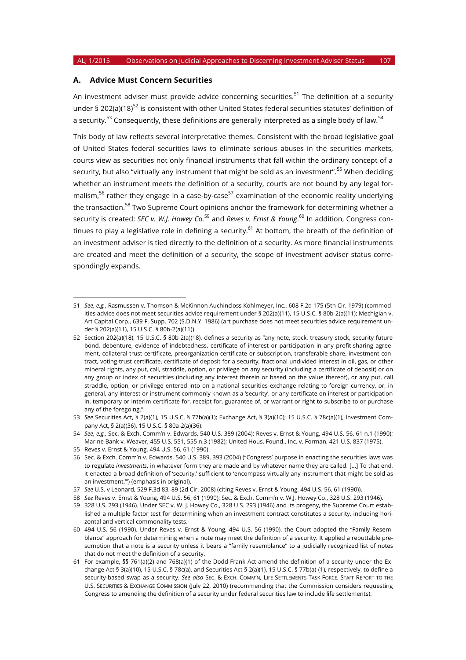### **A. Advice Must Concern Securities**

An investment adviser must provide advice concerning securities.<sup>51</sup> The definition of a security under § 202(a)(18)<sup>52</sup> is consistent with other United States federal securities statutes' definition of a security.<sup>53</sup> Consequently, these definitions are generally interpreted as a single body of law.<sup>54</sup>

This body of law reflects several interpretative themes. Consistent with the broad legislative goal of United States federal securities laws to eliminate serious abuses in the securities markets, courts view as securities not only financial instruments that fall within the ordinary concept of a security, but also "virtually any instrument that might be sold as an investment".<sup>55</sup> When deciding whether an instrument meets the definition of a security, courts are not bound by any legal formalism,<sup>56</sup> rather they engage in a case-by-case<sup>57</sup> examination of the economic reality underlying the transaction.<sup>58</sup> Two Supreme Court opinions anchor the framework for determining whether a security is created: *SEC v. W.J. Howey Co.*<sup>59</sup> and *Reves v. Ernst & Young*. <sup>60</sup> In addition, Congress continues to play a legislative role in defining a security.<sup>61</sup> At bottom, the breath of the definition of an investment adviser is tied directly to the definition of a security. As more financial instruments are created and meet the definition of a security, the scope of investment adviser status correspondingly expands.

<sup>51</sup> *See*, *e.g.*, Rasmussen v. Thomson & McKinnon Auchincloss Kohlmeyer, Inc., 608 F.2d 175 (5th Cir. 1979) (commodities advice does not meet securities advice requirement under § 202(a)(11), 15 U.S.C. § 80b-2(a)(11); Mechigian v. Art Capital Corp., 639 F. Supp. 702 (S.D.N.Y. 1986) (art purchase does not meet securities advice requirement under § 202(a)(11), 15 U.S.C. § 80b-2(a)(11)).

<sup>52</sup> Section 202(a)(18), 15 U.S.C. § 80b-2(a)(18), defines a security as "any note, stock, treasury stock, security future bond, debenture, evidence of indebtedness, certificate of interest or participation in any profit-sharing agreement, collateral-trust certificate, preorganization certificate or subscription, transferable share, investment contract, voting-trust certificate, certificate of deposit for a security, fractional undivided interest in oil, gas, or other mineral rights, any put, call, straddle, option, or privilege on any security (including a certificate of deposit) or on any group or index of securities (including any interest therein or based on the value thereof), or any put, call straddle, option, or privilege entered into on a national securities exchange relating to foreign currency, or, in general, any interest or instrument commonly known as a 'security', or any certificate on interest or participation in, temporary or interim certificate for, receipt for, guarantee of, or warrant or right to subscribe to or purchase any of the foregoing."

<sup>53</sup> *See* Securities Act, § 2(a)(1), 15 U.S.C. § 77b(a)(1); Exchange Act, § 3(a)(10); 15 U.S.C. § 78c(a)(1), Investment Company Act, § 2(a)(36), 15 U.S.C. § 80a-2(a)(36).

<sup>54</sup> *See*, *e.g.*, Sec. & Exch. Comm'n v. Edwards, 540 U.S. 389 (2004); Reves v. Ernst & Young, 494 U.S. 56, 61 n.1 (1990); Marine Bank v. Weaver, 455 U.S. 551, 555 n.3 (1982); United Hous. Found., Inc. v. Forman, 421 U.S. 837 (1975).

<sup>55</sup> Reves v. Ernst & Young, 494 U.S. 56, 61 (1990).

<sup>56</sup> Sec. & Exch. Comm'n v. Edwards, 540 U.S. 389, 393 (2004) ("Congress' purpose in enacting the securities laws was to regulate *investments*, in whatever form they are made and by whatever name they are called. [...] To that end, it enacted a broad definition of 'security,' sufficient to 'encompass virtually any instrument that might be sold as an investment.'") (emphasis in original).

<sup>57</sup> *See* U.S. v Leonard, 529 F.3d 83, 89 (2d Cir. 2008) (citing Reves v. Ernst & Young, 494 U.S. 56, 61 (1990)).

<sup>58</sup> *See* Reves v. Ernst & Young, 494 U.S. 56, 61 (1990); Sec. & Exch. Comm'n v. W.J. Howey Co., 328 U.S. 293 (1946).

<sup>59</sup> 328 U.S. 293 (1946). Under SEC v. W. J. Howey Co., 328 U.S. 293 (1946) and its progeny, the Supreme Court established a multiple factor test for determining when an investment contract constitutes a security, including horizontal and vertical commonality tests.

<sup>60</sup> 494 U.S. 56 (1990). Under Reves v. Ernst & Young, 494 U.S. 56 (1990), the Court adopted the "Family Resemblance" approach for determining when a note may meet the definition of a security. It applied a rebuttable presumption that a note is a security unless it bears a "family resemblance" to a judicially recognized list of notes that do not meet the definition of a security.

<sup>61</sup> For example, §§ 761(a)(2) and 768(a)(1) of the Dodd-Frank Act amend the definition of a security under the Exchange Act § 3(a)(10), 15 U.S.C. § 78c(a), and Securities Act § 2(a)(1), 15 U.S.C. § 77b(a)-(1), respectively, to define a security-based swap as a security. *See also* SEC. & EXCH. COMM'N, LIFE SETTLEMENTS TASK FORCE, STAFF REPORT TO THE U.S. SECURITIES & EXCHANGE COMMISSION (July 22, 2010) (recommending that the Commission considers requesting Congress to amending the definition of a security under federal securities law to include life settlements).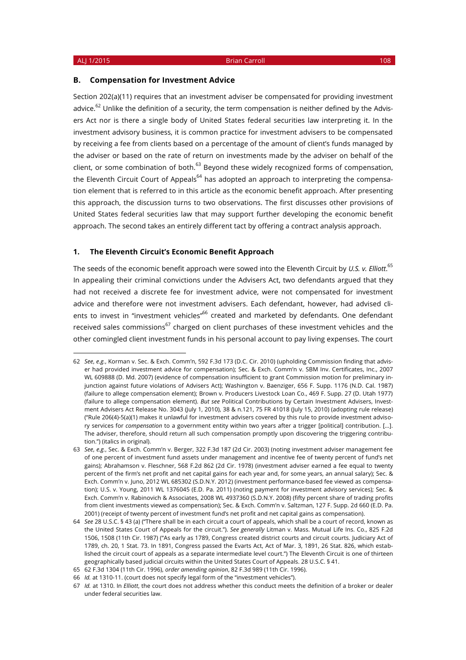#### **B. Compensation for Investment Advice**

Section 202(a)(11) requires that an investment adviser be compensated for providing investment advice.<sup>62</sup> Unlike the definition of a security, the term compensation is neither defined by the Advisers Act nor is there a single body of United States federal securities law interpreting it. In the investment advisory business, it is common practice for investment advisers to be compensated by receiving a fee from clients based on a percentage of the amount of client's funds managed by the adviser or based on the rate of return on investments made by the adviser on behalf of the client, or some combination of both. $^{63}$  Beyond these widely recognized forms of compensation, the Eleventh Circuit Court of Appeals<sup>64</sup> has adopted an approach to interpreting the compensation element that is referred to in this article as the economic benefit approach. After presenting this approach, the discussion turns to two observations. The first discusses other provisions of United States federal securities law that may support further developing the economic benefit approach. The second takes an entirely different tact by offering a contract analysis approach.

### **1. The Eleventh Circuit's Economic Benefit Approach**

The seeds of the economic benefit approach were sowed into the Eleventh Circuit by *U.S. v. Elliott*. 65 In appealing their criminal convictions under the Advisers Act, two defendants argued that they had not received a discrete fee for investment advice, were not compensated for investment advice and therefore were not investment advisers. Each defendant, however, had advised clients to invest in "investment vehicles"<sup>66</sup> created and marketed by defendants. One defendant received sales commissions<sup>67</sup> charged on client purchases of these investment vehicles and the other comingled client investment funds in his personal account to pay living expenses. The court

<sup>62</sup> *See*, *e.g.*, Korman v. Sec. & Exch. Comm'n, 592 F.3d 173 (D.C. Cir. 2010) (upholding Commission finding that adviser had provided investment advice for compensation); Sec. & Exch. Comm'n v. SBM Inv. Certificates, Inc., 2007 WL 609888 (D. Md. 2007) (evidence of compensation insufficient to grant Commission motion for preliminary injunction against future violations of Advisers Act); Washington v. Baenziger, 656 F. Supp. 1176 (N.D. Cal. 1987) (failure to allege compensation element); Brown v. Producers Livestock Loan Co., 469 F. Supp. 27 (D. Utah 1977) (failure to allege compensation element). *But see* Political Contributions by Certain Investment Advisers, Investment Advisers Act Release No. 3043 (July 1, 2010), 38 & n.121, 75 FR 41018 (July 15, 2010) (adopting rule release) ("Rule 206(4)-5(a)(1) makes it unlawful for investment advisers covered by this rule to provide investment advisory services for *compensation* to a government entity within two years after a trigger [political] contribution. […]. The adviser, therefore, should return all such compensation promptly upon discovering the triggering contribution.") (italics in original).

<sup>63</sup> *See*, *e.g.*, Sec. & Exch. Comm'n v. Berger, 322 F.3d 187 (2d Cir. 2003) (noting investment adviser management fee of one percent of investment fund assets under management and incentive fee of twenty percent of fund's net gains); Abrahamson v. Fleschner, 568 F.2d 862 (2d Cir. 1978) (investment adviser earned a fee equal to twenty percent of the firm's net profit and net capital gains for each year and, for some years, an annual salary); Sec. & Exch. Comm'n v. Juno, 2012 WL 685302 (S.D.N.Y. 2012) (investment performance-based fee viewed as compensation); U.S. v. Young, 2011 WL 1376045 (E.D. Pa. 2011) (noting payment for investment advisory services); Sec. & Exch. Comm'n v. Rabinovich & Associates, 2008 WL 4937360 (S.D.N.Y. 2008) (fifty percent share of trading profits from client investments viewed as compensation); Sec. & Exch. Comm'n v. Saltzman, 127 F. Supp. 2d 660 (E.D. Pa. 2001) (receipt of twenty percent of investment fund's net profit and net capital gains as compensation).

<sup>64</sup> *See* 28 U.S.C. § 43 (a) ("There shall be in each circuit a court of appeals, which shall be a court of record, known as the United States Court of Appeals for the circuit."). *See generally* Litman v. Mass. Mutual Life Ins. Co., 825 F.2d 1506, 1508 (11th Cir. 1987) ("As early as 1789, Congress created district courts and circuit courts. Judiciary Act of 1789, ch. 20, 1 Stat. 73. In 1891, Congress passed the Evarts Act, Act of Mar. 3, 1891, 26 Stat. 826, which established the circuit court of appeals as a separate intermediate level court.") The Eleventh Circuit is one of thirteen geographically based judicial circuits within the United States Court of Appeals. 28 U.S.C. § 41.

<sup>65</sup> 62 F.3d 1304 (11th Cir. 1996), *order amending opinion*, 82 F.3d 989 (11th Cir. 1996).

<sup>66</sup> *Id.* at 1310-11. (court does not specify legal form of the "investment vehicles").

<sup>67</sup> *Id.* at 1310. In *Elliott*, the court does not address whether this conduct meets the definition of a broker or dealer under federal securities law.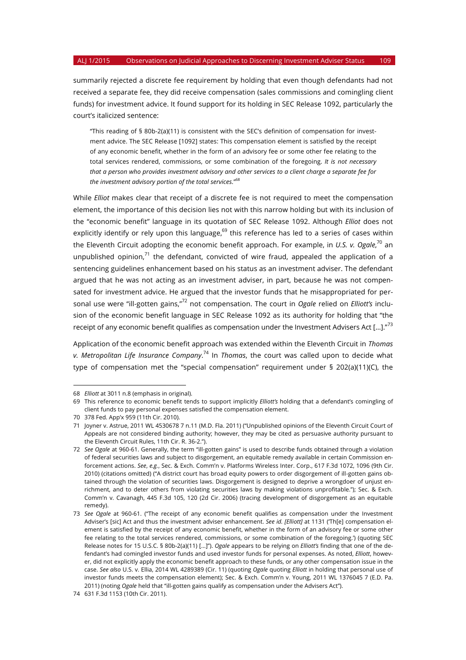summarily rejected a discrete fee requirement by holding that even though defendants had not received a separate fee, they did receive compensation (sales commissions and comingling client funds) for investment advice. It found support for its holding in SEC Release 1092, particularly the court's italicized sentence:

"This reading of § 80b-2(a)(11) is consistent with the SEC's definition of compensation for investment advice. The SEC Release [1092] states: This compensation element is satisfied by the receipt of any economic benefit, whether in the form of an advisory fee or some other fee relating to the total services rendered, commissions, or some combination of the foregoing. *It is not necessary that a person who provides investment advisory and other services to a client charge a separate fee for the investment advisory portion of the total services.*" 68

While *Elliot* makes clear that receipt of a discrete fee is not required to meet the compensation element, the importance of this decision lies not with this narrow holding but with its inclusion of the "economic benefit" language in its quotation of SEC Release 1092. Although *Elliot* does not explicitly identify or rely upon this language, $^{69}$  this reference has led to a series of cases within the Eleventh Circuit adopting the economic benefit approach. For example, in *U.S. v. Ogale*, <sup>70</sup> an unpublished opinion, $71$  the defendant, convicted of wire fraud, appealed the application of a sentencing guidelines enhancement based on his status as an investment adviser. The defendant argued that he was not acting as an investment adviser, in part, because he was not compensated for investment advice. He argued that the investor funds that he misappropriated for personal use were "ill-gotten gains,"<sup>72</sup> not compensation. The court in *Ogale* relied on *Elliott's* inclusion of the economic benefit language in SEC Release 1092 as its authority for holding that "the receipt of any economic benefit qualifies as compensation under the Investment Advisers Act [...]." $^{73}$ 

Application of the economic benefit approach was extended within the Eleventh Circuit in *Thomas v. Metropolitan Life Insurance Company*. <sup>74</sup> In *Thomas*, the court was called upon to decide what type of compensation met the "special compensation" requirement under § 202(a)(11)(C), the

<sup>68</sup> *Elliott* at 3011 n.8 (emphasis in original).

<sup>69</sup> This reference to economic benefit tends to support implicitly *Elliott's* holding that a defendant's comingling of client funds to pay personal expenses satisfied the compensation element.

<sup>70</sup> 378 Fed. App'x 959 (11th Cir. 2010).

<sup>71</sup> Joyner v. Astrue, 2011 WL 4530678 7 n.11 (M.D. Fla. 2011) ("Unpublished opinions of the Eleventh Circuit Court of Appeals are not considered binding authority; however, they may be cited as persuasive authority pursuant to the Eleventh Circuit Rules, 11th Cir. R. 36-2.").

<sup>72</sup> *See Ogale* at 960-61. Generally, the term "ill-gotten gains" is used to describe funds obtained through a violation of federal securities laws and subject to disgorgement, an equitable remedy available in certain Commission enforcement actions. *See*, *e.g.*, Sec. & Exch. Comm'n v. Platforms Wireless Inter. Corp., 617 F.3d 1072, 1096 (9th Cir. 2010) (citations omitted) ("A district court has broad equity powers to order disgorgement of ill-gotten gains obtained through the violation of securities laws. Disgorgement is designed to deprive a wrongdoer of unjust enrichment, and to deter others from violating securities laws by making violations unprofitable."); Sec. & Exch. Comm'n v. Cavanagh, 445 F.3d 105, 120 (2d Cir. 2006) (tracing development of disgorgement as an equitable remedy).

<sup>73</sup> *See Ogale* at 960-61. ("The receipt of any economic benefit qualifies as compensation under the Investment Adviser's [sic] Act and thus the investment adviser enhancement. *See id. [Elliott]* at 1131 ('Th[e] compensation element is satisfied by the receipt of any economic benefit, whether in the form of an advisory fee or some other fee relating to the total services rendered, commissions, or some combination of the foregoing.') (quoting SEC Release notes for 15 U.S.C. § 80b-2(a)(11) […]"). *Ogale* appears to be relying on *Elliott's* finding that one of the defendant's had comingled investor funds and used investor funds for personal expenses. As noted, *Elliott*, however, did not explicitly apply the economic benefit approach to these funds, or any other compensation issue in the case. *See also* U.S. v. Ellia, 2014 WL 4289389 (Cir. 11) (quoting *Ogale* quoting *Elliott* in holding that personal use of investor funds meets the compensation element); Sec. & Exch. Comm'n v. Young, 2011 WL 1376045 7 (E.D. Pa. 2011) (noting *Ogale* held that "ill-gotten gains qualify as compensation under the Advisers Act").

<sup>74</sup> 631 F.3d 1153 (10th Cir. 2011).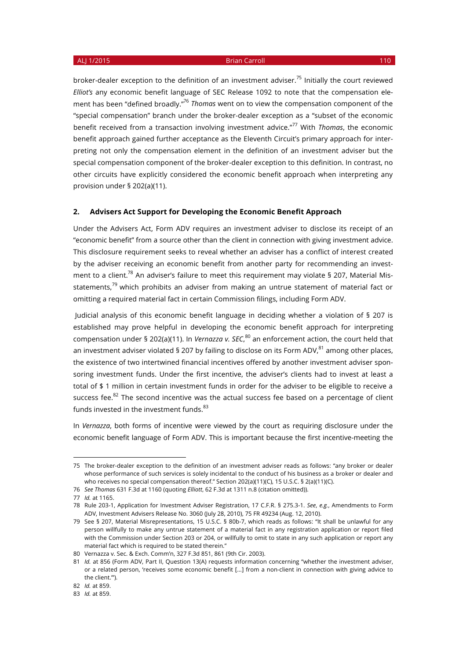broker-dealer exception to the definition of an investment adviser.<sup>75</sup> Initially the court reviewed *Elliot's* any economic benefit language of SEC Release 1092 to note that the compensation element has been "defined broadly."76 *Thomas* went on to view the compensation component of the "special compensation" branch under the broker-dealer exception as a "subset of the economic benefit received from a transaction involving investment advice."<sup>77</sup> With *Thomas*, the economic benefit approach gained further acceptance as the Eleventh Circuit's primary approach for interpreting not only the compensation element in the definition of an investment adviser but the special compensation component of the broker-dealer exception to this definition. In contrast, no other circuits have explicitly considered the economic benefit approach when interpreting any provision under § 202(a)(11).

### **2. Advisers Act Support for Developing the Economic Benefit Approach**

Under the Advisers Act, Form ADV requires an investment adviser to disclose its receipt of an "economic benefit" from a source other than the client in connection with giving investment advice. This disclosure requirement seeks to reveal whether an adviser has a conflict of interest created by the adviser receiving an economic benefit from another party for recommending an investment to a client.<sup>78</sup> An adviser's failure to meet this requirement may violate § 207, Material Misstatements, $79$  which prohibits an adviser from making an untrue statement of material fact or omitting a required material fact in certain Commission filings, including Form ADV.

Judicial analysis of this economic benefit language in deciding whether a violation of § 207 is established may prove helpful in developing the economic benefit approach for interpreting compensation under § 202(a)(11). In *Vernazza v. SEC*, <sup>80</sup> an enforcement action, the court held that an investment adviser violated § 207 by failing to disclose on its Form ADV, $^{81}$  among other places, the existence of two intertwined financial incentives offered by another investment adviser sponsoring investment funds. Under the first incentive, the adviser's clients had to invest at least a total of \$ 1 million in certain investment funds in order for the adviser to be eligible to receive a success fee. $82$  The second incentive was the actual success fee based on a percentage of client funds invested in the investment funds. $83$ 

In *Vernazza*, both forms of incentive were viewed by the court as requiring disclosure under the economic benefit language of Form ADV. This is important because the first incentive-meeting the

<sup>75</sup> The broker-dealer exception to the definition of an investment adviser reads as follows: "any broker or dealer whose performance of such services is solely incidental to the conduct of his business as a broker or dealer and who receives no special compensation thereof." Section 202(a)(11)(C), 15 U.S.C. § 2(a)(11)(C).

<sup>76</sup> *See Thomas* 631 F.3d at 1160 (quoting *Elliott*, 62 F.3d at 1311 n.8 (citation omitted)).

<sup>77</sup> *Id.* at 1165.

<sup>78</sup> Rule 203-1, Application for Investment Adviser Registration, 17 C.F.R. § 275.3-1. *See*, *e.g.*, Amendments to Form ADV, Investment Advisers Release No. 3060 (July 28, 2010), 75 FR 49234 (Aug. 12, 2010).

<sup>79</sup> See § 207, Material Misrepresentations, 15 U.S.C. § 80b-7, which reads as follows: "It shall be unlawful for any person willfully to make any untrue statement of a material fact in any registration application or report filed with the Commission under Section 203 or 204, or willfully to omit to state in any such application or report any material fact which is required to be stated therein."

<sup>80</sup> Vernazza v. Sec. & Exch. Comm'n, 327 F.3d 851, 861 (9th Cir. 2003).

<sup>81</sup> *Id.* at 856 (Form ADV, Part II, Question 13(A) requests information concerning "whether the investment adviser, or a related person, 'receives some economic benefit [...] from a non-client in connection with giving advice to the client.'").

<sup>82</sup> *Id.* at 859.

<sup>83</sup> *Id.* at 859.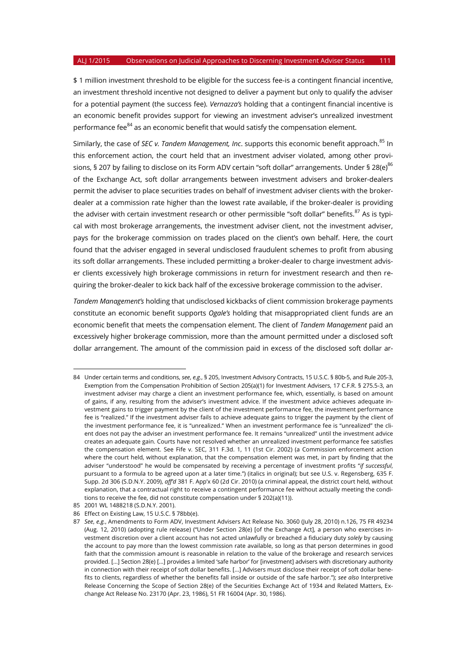\$ 1 million investment threshold to be eligible for the success fee-is a contingent financial incentive, an investment threshold incentive not designed to deliver a payment but only to qualify the adviser for a potential payment (the success fee). *Vernazza's* holding that a contingent financial incentive is an economic benefit provides support for viewing an investment adviser's unrealized investment performance fee $^{84}$  as an economic benefit that would satisfy the compensation element.

Similarly, the case of *SEC v. Tandem Management, Inc*. supports this economic benefit approach.<sup>85</sup> In this enforcement action, the court held that an investment adviser violated, among other provisions, § 207 by failing to disclose on its Form ADV certain "soft dollar" arrangements. Under § 28(e)<sup>86</sup> of the Exchange Act, soft dollar arrangements between investment advisers and broker-dealers permit the adviser to place securities trades on behalf of investment adviser clients with the brokerdealer at a commission rate higher than the lowest rate available, if the broker-dealer is providing the adviser with certain investment research or other permissible "soft dollar" benefits.<sup>87</sup> As is typical with most brokerage arrangements, the investment adviser client, not the investment adviser, pays for the brokerage commission on trades placed on the client's own behalf. Here, the court found that the adviser engaged in several undisclosed fraudulent schemes to profit from abusing its soft dollar arrangements. These included permitting a broker-dealer to charge investment adviser clients excessively high brokerage commissions in return for investment research and then requiring the broker-dealer to kick back half of the excessive brokerage commission to the adviser.

*Tandem Management's* holding that undisclosed kickbacks of client commission brokerage payments constitute an economic benefit supports *Ogale's* holding that misappropriated client funds are an economic benefit that meets the compensation element. The client of *Tandem Management* paid an excessively higher brokerage commission, more than the amount permitted under a disclosed soft dollar arrangement. The amount of the commission paid in excess of the disclosed soft dollar ar-

<sup>84</sup> Under certain terms and conditions, *see*, *e.g.*, § 205, Investment Advisory Contracts, 15 U.S.C. § 80b-5, and Rule 205-3, Exemption from the Compensation Prohibition of Section 205(a)(1) for Investment Advisers, 17 C.F.R. § 275.5-3, an investment adviser may charge a client an investment performance fee, which, essentially, is based on amount of gains, if any, resulting from the adviser's investment advice. If the investment advice achieves adequate investment gains to trigger payment by the client of the investment performance fee, the investment performance fee is "realized." If the investment adviser fails to achieve adequate gains to trigger the payment by the client of the investment performance fee, it is "unrealized." When an investment performance fee is "unrealized" the client does not pay the adviser an investment performance fee. It remains "unrealized" until the investment advice creates an adequate gain. Courts have not resolved whether an unrealized investment performance fee satisfies the compensation element. See Fife v. SEC, 311 F.3d. 1, 11 (1st Cir. 2002) (a Commission enforcement action where the court held, without explanation, that the compensation element was met, in part by finding that the adviser "understood" he would be compensated by receiving a percentage of investment profits "*if successful*, pursuant to a formula to be agreed upon at a later time.") (italics in original); but see U.S. v. Regensberg, 635 F. Supp. 2d 306 (S.D.N.Y. 2009), *aff'd* 381 F. App'x 60 (2d Cir. 2010) (a criminal appeal, the district court held, without explanation, that a contractual right to receive a contingent performance fee without actually meeting the conditions to receive the fee, did not constitute compensation under § 202(a)(11)).

<sup>85</sup> 2001 WL 1488218 (S.D.N.Y. 2001).

<sup>86</sup> Effect on Existing Law, 15 U.S.C. § 78bb(e).

<sup>87</sup> *See*, *e.g.*, Amendments to Form ADV, Investment Advisers Act Release No. 3060 (July 28, 2010) n.126, 75 FR 49234 (Aug. 12, 2010) (adopting rule release) ("Under Section 28(e) [of the Exchange Act], a person who exercises investment discretion over a client account has not acted unlawfully or breached a fiduciary duty *solely* by causing the account to pay more than the lowest commission rate available, so long as that person determines in good faith that the commission amount is reasonable in relation to the value of the brokerage and research services provided. […] Section 28(e) […] provides a limited 'safe harbor' for [investment] advisers with discretionary authority in connection with their receipt of soft dollar benefits. […] Advisers must disclose their receipt of soft dollar benefits to clients, regardless of whether the benefits fall inside or outside of the safe harbor."); *see also* Interpretive Release Concerning the Scope of Section 28(e) of the Securities Exchange Act of 1934 and Related Matters, Exchange Act Release No. 23170 (Apr. 23, 1986), 51 FR 16004 (Apr. 30, 1986).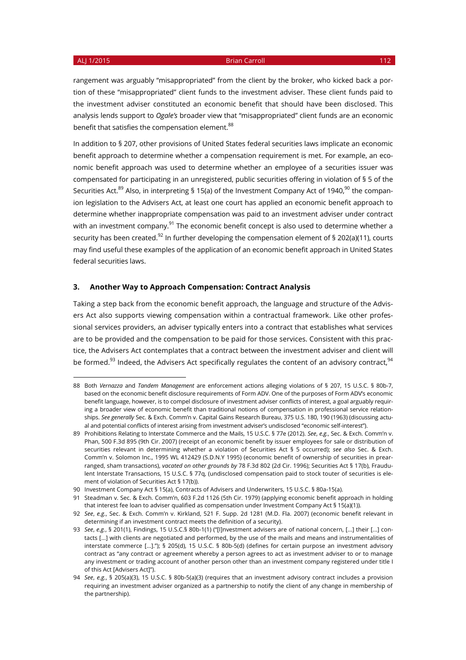#### ALJ 1/2015 **Brian Carroll 112**

rangement was arguably "misappropriated" from the client by the broker, who kicked back a portion of these "misappropriated" client funds to the investment adviser. These client funds paid to the investment adviser constituted an economic benefit that should have been disclosed. This analysis lends support to *Ogale's* broader view that "misappropriated" client funds are an economic benefit that satisfies the compensation element. 88

In addition to § 207, other provisions of United States federal securities laws implicate an economic benefit approach to determine whether a compensation requirement is met. For example, an economic benefit approach was used to determine whether an employee of a securities issuer was compensated for participating in an unregistered, public securities offering in violation of § 5 of the Securities Act.<sup>89</sup> Also, in interpreting § 15(a) of the Investment Company Act of 1940,<sup>90</sup> the companion legislation to the Advisers Act, at least one court has applied an economic benefit approach to determine whether inappropriate compensation was paid to an investment adviser under contract with an investment company.<sup>91</sup> The economic benefit concept is also used to determine whether a security has been created.<sup>92</sup> In further developing the compensation element of § 202(a)(11), courts may find useful these examples of the application of an economic benefit approach in United States federal securities laws.

#### **3. Another Way to Approach Compensation: Contract Analysis**

Taking a step back from the economic benefit approach, the language and structure of the Advisers Act also supports viewing compensation within a contractual framework. Like other professional services providers, an adviser typically enters into a contract that establishes what services are to be provided and the compensation to be paid for those services. Consistent with this practice, the Advisers Act contemplates that a contract between the investment adviser and client will be formed.<sup>93</sup> Indeed, the Advisers Act specifically regulates the content of an advisory contract,<sup>94</sup>

<sup>88</sup> Both *Vernazza* and *Tandem Management* are enforcement actions alleging violations of § 207, 15 U.S.C. § 80b-7, based on the economic benefit disclosure requirements of Form ADV. One of the purposes of Form ADV's economic benefit language, however, is to compel disclosure of investment adviser conflicts of interest, a goal arguably requiring a broader view of economic benefit than traditional notions of compensation in professional service relationships. *See generally* Sec. & Exch. Comm'n v. Capital Gains Research Bureau, 375 U.S. 180, 190 (1963) (discussing actual and potential conflicts of interest arising from investment adviser's undisclosed "economic self-interest").

<sup>89</sup> Prohibitions Relating to Interstate Commerce and the Mails, 15 U.S.C. § 77e (2012). *See*, *e.g.*, Sec. & Exch. Comm'n v. Phan, 500 F.3d 895 (9th Cir. 2007) (receipt of an economic benefit by issuer employees for sale or distribution of securities relevant in determining whether a violation of Securities Act § 5 occurred); *see also* Sec. & Exch. Comm'n v. Solomon Inc., 1995 WL 412429 (S.D.N.Y 1995) (economic benefit of ownership of securities in prearranged, sham transactions), *vacated on other grounds by* 78 F.3d 802 (2d Cir. 1996); Securities Act § 17(b), Fraudulent Interstate Transactions, 15 U.S.C. § 77q, (undisclosed compensation paid to stock touter of securities is element of violation of Securities Act § 17(b)).

<sup>90</sup> Investment Company Act § 15(a), Contracts of Advisers and Underwriters, 15 U.S.C. § 80a-15(a).

<sup>91</sup> Steadman v. Sec. & Exch. Comm'n, 603 F.2d 1126 (5th Cir. 1979) (applying economic benefit approach in holding that interest fee loan to adviser qualified as compensation under Investment Company Act § 15(a)(1)).

<sup>92</sup> *See*, *e.g.*, Sec. & Exch. Comm'n v. Kirkland, 521 F. Supp. 2d 1281 (M.D. Fla. 2007) (economic benefit relevant in determining if an investment contract meets the definition of a security).

<sup>93</sup> *See*, *e.g.*, § 201(1), Findings, 15 U.S.C.§ 80b-1(1) ("[I]nvestment advisers are of national concern, [...] their [...] contacts [...] with clients are negotiated and performed, by the use of the mails and means and instrumentalities of interstate commerce [...]."); § 205(d), 15 U.S.C. § 80b-5(d) (defines for certain purpose an investment advisory contract as "any contract or agreement whereby a person agrees to act as investment adviser to or to manage any investment or trading account of another person other than an investment company registered under title I of this Act [Advisers Act]").

<sup>94</sup> *See*, *e.g.*, § 205(a)(3), 15 U.S.C. § 80b-5(a)(3) (requires that an investment advisory contract includes a provision requiring an investment adviser organized as a partnership to notify the client of any change in membership of the partnership).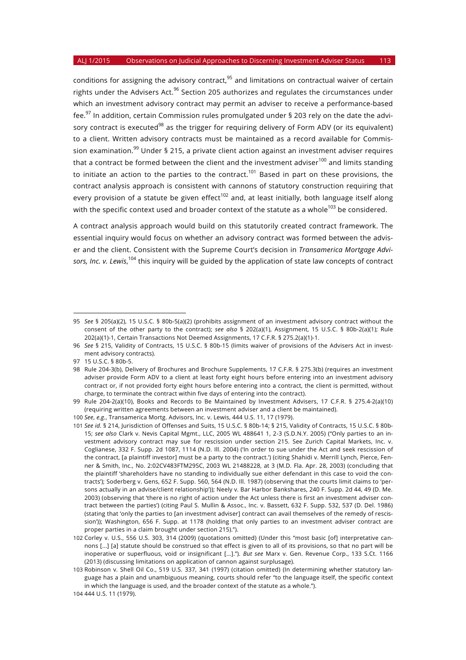conditions for assigning the advisory contract,<sup>95</sup> and limitations on contractual waiver of certain rights under the Advisers Act.<sup>96</sup> Section 205 authorizes and regulates the circumstances under which an investment advisory contract may permit an adviser to receive a performance-based fee.<sup>97</sup> In addition, certain Commission rules promulgated under § 203 rely on the date the advisory contract is executed<sup>98</sup> as the trigger for requiring delivery of Form ADV (or its equivalent) to a client. Written advisory contracts must be maintained as a record available for Commission examination.<sup>99</sup> Under § 215, a private client action against an investment adviser requires that a contract be formed between the client and the investment adviser $100$  and limits standing to initiate an action to the parties to the contract.<sup>101</sup> Based in part on these provisions, the contract analysis approach is consistent with cannons of statutory construction requiring that every provision of a statute be given effect<sup>102</sup> and, at least initially, both language itself along with the specific context used and broader context of the statute as a whole<sup>103</sup> be considered.

A contract analysis approach would build on this statutorily created contract framework. The essential inquiry would focus on whether an advisory contract was formed between the adviser and the client. Consistent with the Supreme Court's decision in *Transamerica Mortgage Advisors, Inc. v. Lewis*, <sup>104</sup> this inquiry will be guided by the application of state law concepts of contract

<sup>95</sup> *See* § 205(a)(2), 15 U.S.C. § 80b-5(a)(2) (prohibits assignment of an investment advisory contract without the consent of the other party to the contract); *see also* § 202(a)(1), Assignment, 15 U.S.C. § 80b-2(a)(1); Rule 202(a)(1)-1, Certain Transactions Not Deemed Assignments, 17 C.F.R. § 275.2(a)(1)-1.

<sup>96</sup> *See* § 215, Validity of Contracts, 15 U.S.C. § 80b-15 (limits waiver of provisions of the Advisers Act in investment advisory contracts).

<sup>97</sup> 15 U.S.C. § 80b-5.

<sup>98</sup> Rule 204-3(b), Delivery of Brochures and Brochure Supplements, 17 C.F.R. § 275.3(b) (requires an investment adviser provide Form ADV to a client at least forty eight hours before entering into an investment advisory contract or, if not provided forty eight hours before entering into a contract, the client is permitted, without charge, to terminate the contract within five days of entering into the contract).

<sup>99</sup> Rule 204-2(a)(10), Books and Records to Be Maintained by Investment Advisers, 17 C.F.R. § 275.4-2(a)(10) (requiring written agreements between an investment adviser and a client be maintained).

<sup>100</sup> *See*, *e.g.*, Transamerica Mortg. Advisors, Inc. v. Lewis, 444 U.S. 11, 17 (1979).

<sup>101</sup> *See id.* § 214, Jurisdiction of Offenses and Suits, 15 U.S.C. § 80b-14; § 215, Validity of Contracts, 15 U.S.C. § 80b-15; *see also* Clark v. Nevis Capital Mgmt., LLC, 2005 WL 488641 1, 2-3 (S.D.N.Y. 2005) ("Only parties to an investment advisory contract may sue for rescission under section 215. See Zurich Capital Markets, Inc. v. Coglianese, 332 F. Supp. 2d 1087, 1114 (N.D. Ill. 2004) ('In order to sue under the Act and seek rescission of the contract, [a plaintiff investor] must be a party to the contract.') (citing Shahidi v. Merrill Lynch, Pierce, Fenner & Smith, Inc., No. 2:02CV483FTM29SC, 2003 WL 21488228, at 3 (M.D. Fla. Apr. 28, 2003) (concluding that the plaintiff 'shareholders have no standing to individually sue either defendant in this case to void the contracts'); Soderberg v. Gens, 652 F. Supp. 560, 564 (N.D. Ill. 1987) (observing that the courts limit claims to 'persons actually in an advise/client relationship')); Neely v. Bar Harbor Bankshares, 240 F. Supp. 2d 44, 49 (D. Me. 2003) (observing that 'there is no right of action under the Act unless there is first an investment adviser contract between the parties') (citing Paul S. Mullin & Assoc., Inc. v. Bassett, 632 F. Supp. 532, 537 (D. Del. 1986) (stating that 'only the parties to [an investment adviser] contract can avail themselves of the remedy of rescission')); Washington, 656 F. Supp. at 1178 (holding that only parties to an investment adviser contract are proper parties in a claim brought under section 215).").

<sup>102</sup> Corley v. U.S., 556 U.S. 303, 314 (2009) (quotations omitted) (Under this "most basic [of] interpretative cannons [...] [a] statute should be construed so that effect is given to all of its provisions, so that no part will be inoperative or superfluous, void or insignificant [...]."). *But see* Marx v. Gen. Revenue Corp., 133 S.Ct. 1166 (2013) (discussing limitations on application of cannon against surplusage).

<sup>103</sup> Robinson v. Shell Oil Co., 519 U.S. 337, 341 (1997) (citation omitted) (In determining whether statutory language has a plain and unambiguous meaning, courts should refer "to the language itself, the specific context in which the language is used, and the broader context of the statute as a whole.").

<sup>104</sup> 444 U.S. 11 (1979).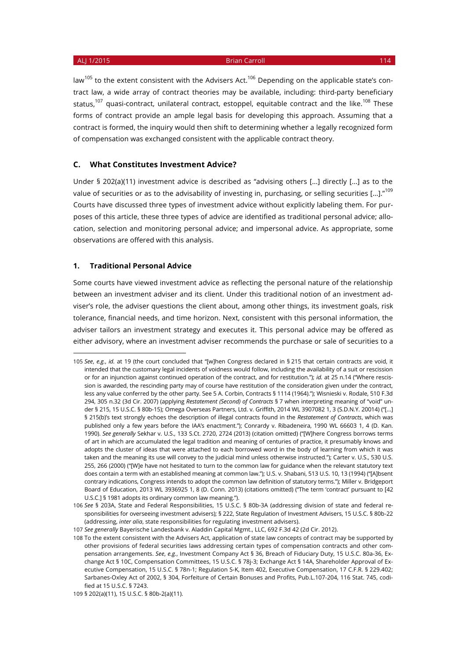law<sup>105</sup> to the extent consistent with the Advisers Act.<sup>106</sup> Depending on the applicable state's contract law, a wide array of contract theories may be available, including: third-party beneficiary status,<sup>107</sup> quasi-contract, unilateral contract, estoppel, equitable contract and the like.<sup>108</sup> These forms of contract provide an ample legal basis for developing this approach. Assuming that a contract is formed, the inquiry would then shift to determining whether a legally recognized form of compensation was exchanged consistent with the applicable contract theory.

#### **C. What Constitutes Investment Advice?**

Under § 202(a)(11) investment advice is described as "advising others [...] directly [...] as to the value of securities or as to the advisability of investing in, purchasing, or selling securities [...]."<sup>109</sup> Courts have discussed three types of investment advice without explicitly labeling them. For purposes of this article, these three types of advice are identified as traditional personal advice; allocation, selection and monitoring personal advice; and impersonal advice. As appropriate, some observations are offered with this analysis.

#### **1. Traditional Personal Advice**

 $\overline{a}$ 

Some courts have viewed investment advice as reflecting the personal nature of the relationship between an investment adviser and its client. Under this traditional notion of an investment adviser's role, the adviser questions the client about, among other things, its investment goals, risk tolerance, financial needs, and time horizon. Next, consistent with this personal information, the adviser tailors an investment strategy and executes it. This personal advice may be offered as either advisory, where an investment adviser recommends the purchase or sale of securities to a

<sup>105</sup> *See*, *e.g.*, *id.* at 19 (the court concluded that "[w]hen Congress declared in § 215 that certain contracts are void, it intended that the customary legal incidents of voidness would follow, including the availability of a suit or rescission or for an injunction against continued operation of the contract, and for restitution."); *id.* at 25 n.14 ("Where rescission is awarded, the rescinding party may of course have restitution of the consideration given under the contract, less any value conferred by the other party. See 5 A. Corbin, Contracts § 1114 (1964)."); Wisnieski v. Rodale, 510 F.3d 294, 305 n.32 (3d Cir. 2007) (applying *Restatement (Second) of Contracts* § 7 when interpreting meaning of "void" under § 215, 15 U.S.C. § 80b-15); Omega Overseas Partners, Ltd. v. Griffith, 2014 WL 3907082 1, 3 (S.D.N.Y. 20014) ("[…] § 215(b)'s text strongly echoes the description of illegal contracts found in the *Restatement of Contracts*, which was published only a few years before the IAA's enactment."); Conrardy v. Ribadeneira, 1990 WL 66603 1, 4 (D. Kan. 1990). *See generally* Sekhar v. U.S., 133 S.Ct. 2720, 2724 (2013) (citation omitted) ("[W]here Congress borrows terms of art in which are accumulated the legal tradition and meaning of centuries of practice, it presumably knows and adopts the cluster of ideas that were attached to each borrowed word in the body of learning from which it was taken and the meaning its use will convey to the judicial mind unless otherwise instructed."); Carter v. U.S., 530 U.S. 255, 266 (2000) ("[W]e have not hesitated to turn to the common law for guidance when the relevant statutory text does contain a term with an established meaning at common law."); U.S. v. Shabani, 513 U.S. 10, 13 (1994) ("[A]bsent contrary indications, Congress intends to adopt the common law definition of statutory terms."); Miller v. Bridgeport Board of Education, 2013 WL 3936925 1, 8 (D. Conn. 2013) (citations omitted) ("The term 'contract' pursuant to [42 U.S.C.] § 1981 adopts its ordinary common law meaning.").

<sup>106</sup> *See* § 203A, State and Federal Responsibilities, 15 U.S.C. § 80b-3A (addressing division of state and federal responsibilities for overseeing investment advisers); § 222, State Regulation of Investment Advisers, 15 U.S.C. § 80b-22 (addressing, *inter alia*, state responsibilities for regulating investment advisers).

<sup>107</sup> *See generally* Bayerische Landesbank v. Aladdin Capital Mgmt., LLC, 692 F.3d 42 (2d Cir. 2012).

<sup>108</sup> To the extent consistent with the Advisers Act, application of state law concepts of contract may be supported by other provisions of federal securities laws addressing certain types of compensation contracts and other compensation arrangements. *See*, *e.g.*, Investment Company Act § 36, Breach of Fiduciary Duty, 15 U.S.C. 80a-36, Exchange Act § 10C, Compensation Committees, 15 U.S.C. § 78j-3; Exchange Act § 14A, Shareholder Approval of Executive Compensation, 15 U.S.C. § 78n-1; Regulation S-K, Item 402, Executive Compensation, 17 C.F.R. § 229.402; Sarbanes-Oxley Act of 2002, § 304, Forfeiture of Certain Bonuses and Profits, Pub.L.107-204, 116 Stat. 745, codified at 15 U.S.C. § 7243.

<sup>109</sup> § 202(a)(11), 15 U.S.C. § 80b-2(a)(11).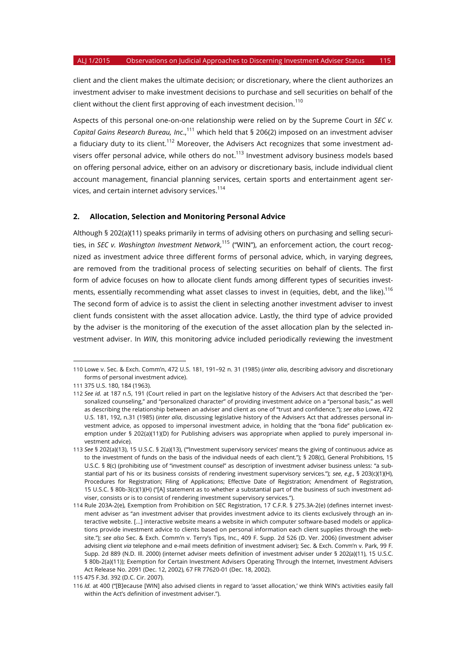client and the client makes the ultimate decision; or discretionary, where the client authorizes an investment adviser to make investment decisions to purchase and sell securities on behalf of the client without the client first approving of each investment decision.<sup>110</sup>

Aspects of this personal one-on-one relationship were relied on by the Supreme Court in *SEC v. Capital Gains Research Bureau, Inc.*,<sup>111</sup> which held that § 206(2) imposed on an investment adviser a fiduciary duty to its client.<sup>112</sup> Moreover, the Advisers Act recognizes that some investment advisers offer personal advice, while others do not.<sup>113</sup> Investment advisory business models based on offering personal advice, either on an advisory or discretionary basis, include individual client account management, financial planning services, certain sports and entertainment agent services, and certain internet advisory services.<sup>114</sup>

#### **2. Allocation, Selection and Monitoring Personal Advice**

Although § 202(a)(11) speaks primarily in terms of advising others on purchasing and selling securities, in *SEC v. Washington Investment Network*, <sup>115</sup> ("WIN"), an enforcement action, the court recognized as investment advice three different forms of personal advice, which, in varying degrees, are removed from the traditional process of selecting securities on behalf of clients. The first form of advice focuses on how to allocate client funds among different types of securities investments, essentially recommending what asset classes to invest in (equities, debt, and the like).<sup>116</sup> The second form of advice is to assist the client in selecting another investment adviser to invest client funds consistent with the asset allocation advice. Lastly, the third type of advice provided by the adviser is the monitoring of the execution of the asset allocation plan by the selected investment adviser. In *WIN*, this monitoring advice included periodically reviewing the investment

<sup>110</sup> Lowe v. Sec. & Exch. Comm'n, 472 U.S. 181, 191–92 n. 31 (1985) (*inter alia*, describing advisory and discretionary forms of personal investment advice).

<sup>111</sup> 375 U.S. 180, 184 (1963).

<sup>112</sup> *See id.* at 187 n.5, 191 (Court relied in part on the legislative history of the Advisers Act that described the "personalized counseling," and "personalized character" of providing investment advice on a "personal basis," as well as describing the relationship between an adviser and client as one of "trust and confidence."); *see also* Lowe, 472 U.S. 181, 192, n.31 (1985) (*inter alia*, discussing legislative history of the Advisers Act that addresses personal investment advice, as opposed to impersonal investment advice, in holding that the "bona fide" publication exemption under § 202(a)(11)(D) for Publishing advisers was appropriate when applied to purely impersonal investment advice).

<sup>113</sup> *See* § 202(a)(13), 15 U.S.C. § 2(a)(13), ("'Investment supervisory services' means the giving of continuous advice as to the investment of funds on the basis of the individual needs of each client."); § 208(c), General Prohibitions, 15 U.S.C. § 8(c) (prohibiting use of "investment counsel" as description of investment adviser business unless: "a substantial part of his or its business consists of rendering investment supervisory services."); *see*, *e.g.*, § 203(c)(1)(H), Procedures for Registration; Filing of Applications; Effective Date of Registration; Amendment of Registration, 15 U.S.C. § 80b-3(c)(1)(H) ("[A] statement as to whether a substantial part of the business of such investment adviser, consists or is to consist of rendering investment supervisory services.").

<sup>114</sup> Rule 203A-2(e), Exemption from Prohibition on SEC Registration, 17 C.F.R. § 275.3A-2(e) (defines internet investment adviser as "an investment adviser that provides investment advice to its clients exclusively through an interactive website. […] interactive website means a website in which computer software-based models or applications provide investment advice to clients based on personal information each client supplies through the website."); *see also* Sec. & Exch. Comm'n v. Terry's Tips, Inc., 409 F. Supp. 2d 526 (D. Ver. 2006) (investment adviser advising client *via* telephone and e-mail meets definition of investment adviser); Sec. & Exch. Comm'n v. Park, 99 F. Supp. 2d 889 (N.D. Ill. 2000) (internet adviser meets definition of investment adviser under § 202(a)(11), 15 U.S.C. § 80b-2(a)(11)); Exemption for Certain Investment Advisers Operating Through the Internet, Investment Advisers Act Release No. 2091 (Dec. 12, 2002), 67 FR 77620-01 (Dec. 18, 2002).

<sup>115</sup> 475 F.3d. 392 (D.C. Cir. 2007).

<sup>116</sup> *Id.* at 400 ("[B]ecause [WIN] also advised clients in regard to 'asset allocation,' we think WIN's activities easily fall within the Act's definition of investment adviser.").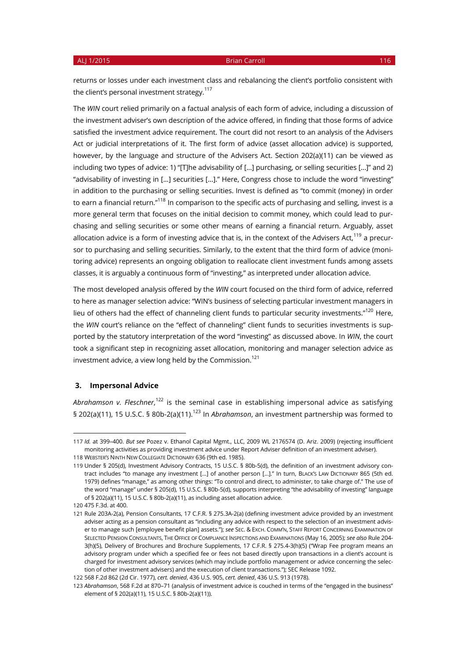returns or losses under each investment class and rebalancing the client's portfolio consistent with the client's personal investment strategy.<sup>117</sup>

The *WIN* court relied primarily on a factual analysis of each form of advice, including a discussion of the investment adviser's own description of the advice offered, in finding that those forms of advice satisfied the investment advice requirement. The court did not resort to an analysis of the Advisers Act or judicial interpretations of it. The first form of advice (asset allocation advice) is supported, however, by the language and structure of the Advisers Act. Section 202(a)(11) can be viewed as including two types of advice: 1) "[T]he advisability of [...] purchasing, or selling securities [...]" and 2) "advisability of investing in [...] securities [...]." Here, Congress chose to include the word "investing" in addition to the purchasing or selling securities. Invest is defined as "to commit (money) in order to earn a financial return."<sup>118</sup> In comparison to the specific acts of purchasing and selling, invest is a more general term that focuses on the initial decision to commit money, which could lead to purchasing and selling securities or some other means of earning a financial return. Arguably, asset allocation advice is a form of investing advice that is, in the context of the Advisers Act,<sup>119</sup> a precursor to purchasing and selling securities. Similarly, to the extent that the third form of advice (monitoring advice) represents an ongoing obligation to reallocate client investment funds among assets classes, it is arguably a continuous form of "investing," as interpreted under allocation advice.

The most developed analysis offered by the *WIN* court focused on the third form of advice, referred to here as manager selection advice: "WIN's business of selecting particular investment managers in lieu of others had the effect of channeling client funds to particular security investments."<sup>120</sup> Here, the *WIN* court's reliance on the "effect of channeling" client funds to securities investments is supported by the statutory interpretation of the word "investing" as discussed above. In *WIN*, the court took a significant step in recognizing asset allocation, monitoring and manager selection advice as investment advice, a view long held by the Commission.<sup>121</sup>

#### **3. Impersonal Advice**

A*brahamson v. Fleschner*,<sup>122</sup> is the seminal case in establishing impersonal advice as satisfying § 202(a)(11), 15 U.S.C. § 80b-2(a)(11).<sup>123</sup> In *Abrahamson*, an investment partnership was formed to

<sup>117</sup> *Id.* at 399–400. *But see* Pozez v. Ethanol Capital Mgmt., LLC, 2009 WL 2176574 (D. Ariz. 2009) (rejecting insufficient monitoring activities as providing investment advice under Report Adviser definition of an investment adviser). 118 WEBSTER'S NINTH NEW COLLEGIATE DICTIONARY 636 (9th ed. 1985).

<sup>119</sup> Under § 205(d), Investment Advisory Contracts, 15 U.S.C. § 80b-5(d), the definition of an investment advisory contract includes "to manage any investment [...] of another person [...]." In turn, BLACK'S LAW DICTIONARY 865 (5th ed. 1979) defines "manage," as among other things: "To control and direct, to administer, to take charge of." The use of the word "manage" under § 205(d), 15 U.S.C. § 80b-5(d), supports interpreting "the advisability of investing" language of § 202(a)(11), 15 U.S.C. § 80b-2(a)(11), as including asset allocation advice.

<sup>120</sup> 475 F.3d. at 400.

<sup>121</sup> Rule 203A-2(a), Pension Consultants, 17 C.F.R. § 275.3A-2(a) (defining investment advice provided by an investment adviser acting as a pension consultant as "including any advice with respect to the selection of an investment adviser to manage such [employee benefit plan] assets."); *see* SEC. & EXCH. COMM'N, STAFF REPORT CONCERNING EXAMINATION OF SELECTED PENSION CONSULTANTS, THE OFFICE OF COMPLIANCE INSPECTIONS AND EXAMINATIONS (May 16, 2005); *see also* Rule 204- 3(h)(5), Delivery of Brochures and Brochure Supplements, 17 C.F.R. § 275.4-3(h)(5) ("Wrap Fee program means an advisory program under which a specified fee or fees not based directly upon transactions in a client's account is charged for investment advisory services (which may include portfolio management or advice concerning the selection of other investment advisers) and the execution of client transactions."); SEC Release 1092.

<sup>122</sup> 568 F.2d 862 (2d Cir. 1977), *cert. denied*, 436 U.S. 905, *cert. denied*, 436 U.S. 913 (1978).

<sup>123</sup> *Abrahamson*, 568 F.2d at 870–71 (analysis of investment advice is couched in terms of the "engaged in the business" element of § 202(a)(11), 15 U.S.C. § 80b-2(a)(11)).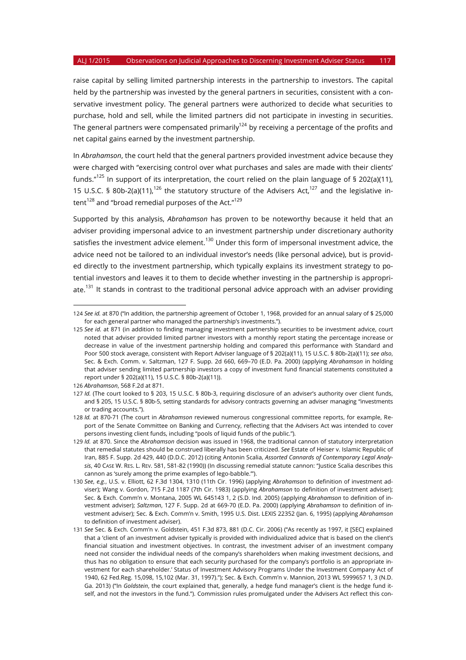raise capital by selling limited partnership interests in the partnership to investors. The capital held by the partnership was invested by the general partners in securities, consistent with a conservative investment policy. The general partners were authorized to decide what securities to purchase, hold and sell, while the limited partners did not participate in investing in securities. The general partners were compensated primarily<sup>124</sup> by receiving a percentage of the profits and net capital gains earned by the investment partnership.

In *Abrahamson*, the court held that the general partners provided investment advice because they were charged with "exercising control over what purchases and sales are made with their clients' funds."<sup>125</sup> In support of its interpretation, the court relied on the plain language of § 202(a)(11), 15 U.S.C. § 80b-2(a)(11),<sup>126</sup> the statutory structure of the Advisers Act,<sup>127</sup> and the legislative intent<sup>128</sup> and "broad remedial purposes of the Act."<sup>129</sup>

Supported by this analysis, *Abrahamson* has proven to be noteworthy because it held that an adviser providing impersonal advice to an investment partnership under discretionary authority satisfies the investment advice element.<sup>130</sup> Under this form of impersonal investment advice, the advice need not be tailored to an individual investor's needs (like personal advice), but is provided directly to the investment partnership, which typically explains its investment strategy to potential investors and leaves it to them to decide whether investing in the partnership is appropriate.<sup>131</sup> It stands in contrast to the traditional personal advice approach with an adviser providing

<sup>124</sup> *See id.* at 870 ("In addition, the partnership agreement of October 1, 1968, provided for an annual salary of \$ 25,000 for each general partner who managed the partnership's investments.").

<sup>125</sup> *See id.* at 871 (in addition to finding managing investment partnership securities to be investment advice, court noted that adviser provided limited partner investors with a monthly report stating the percentage increase or decrease in value of the investment partnership holding and compared this performance with Standard and Poor 500 stock average, consistent with Report Adviser language of § 202(a)(11), 15 U.S.C. § 80b-2(a)(11); *see also*, Sec. & Exch. Comm. v. Saltzman, 127 F. Supp. 2d 660, 669–70 (E.D. Pa. 2000) (applying *Abrahamson* in holding that adviser sending limited partnership investors a copy of investment fund financial statements constituted a report under § 202(a)(11), 15 U.S.C. § 80b-2(a)(11)).

<sup>126</sup> *Abrahamson*, 568 F.2d at 871.

<sup>127</sup> *Id.* (The court looked to § 203, 15 U.S.C. § 80b-3, requiring disclosure of an adviser's authority over client funds, and § 205, 15 U.S.C. § 80b-5, setting standards for advisory contracts governing an adviser managing "investments or trading accounts.").

<sup>128</sup> *Id.* at 870-71 (The court in *Abrahamson* reviewed numerous congressional committee reports, for example, Report of the Senate Committee on Banking and Currency, reflecting that the Advisers Act was intended to cover persons investing client funds, including "pools of liquid funds of the public.").

<sup>129</sup> *Id.* at 870. Since the *Abrahamson* decision was issued in 1968, the traditional cannon of statutory interpretation that remedial statutes should be construed liberally has been criticized. *See* Estate of Heiser v. Islamic Republic of Iran, 885 F. Supp. 2d 429, 440 (D.D.C. 2012) (citing Antonin Scalia, *Assorted Cannards of Contemporary Legal Analysis*, 40 CASE W. RES. L. REV. 581, 581-82 (1990)) (In discussing remedial statute cannon: "Justice Scalia describes this cannon as 'surely among the prime examples of lego-babble.'").

<sup>130</sup> *See*, *e.g.*, U.S. v. Elliott, 62 F.3d 1304, 1310 (11th Cir. 1996) (applying *Abrahamson* to definition of investment adviser); Wang v. Gordon, 715 F.2d 1187 (7th Cir. 1983) (applying *Abrahamson* to definition of investment adviser); Sec. & Exch. Comm'n v. Montana, 2005 WL 645143 1, 2 (S.D. Ind. 2005) (applying *Abrahamson* to definition of investment adviser); *Saltzman*, 127 F. Supp. 2d at 669-70 (E.D. Pa. 2000) (applying *Abrahamson* to definition of investment adviser); Sec. & Exch. Comm'n v. Smith, 1995 U.S. Dist. LEXIS 22352 (Jan. 6, 1995) (applying *Abrahamson* to definition of investment adviser).

<sup>131</sup> *See* Sec. & Exch. Comm'n v. Goldstein, 451 F.3d 873, 881 (D.C. Cir. 2006) ("As recently as 1997, it [SEC] explained that a 'client of an investment adviser typically is provided with individualized advice that is based on the client's financial situation and investment objectives. In contrast, the investment adviser of an investment company need not consider the individual needs of the company's shareholders when making investment decisions, and thus has no obligation to ensure that each security purchased for the company's portfolio is an appropriate investment for each shareholder.' Status of Investment Advisory Programs Under the Investment Company Act of 1940, 62 Fed.Reg. 15,098, 15,102 (Mar. 31, 1997)."); Sec. & Exch. Comm'n v. Mannion, 2013 WL 5999657 1, 3 (N.D. Ga. 2013) ("In *Goldstein*, the court explained that, generally, a hedge fund manager's client is the hedge fund itself, and not the investors in the fund."). Commission rules promulgated under the Advisers Act reflect this con-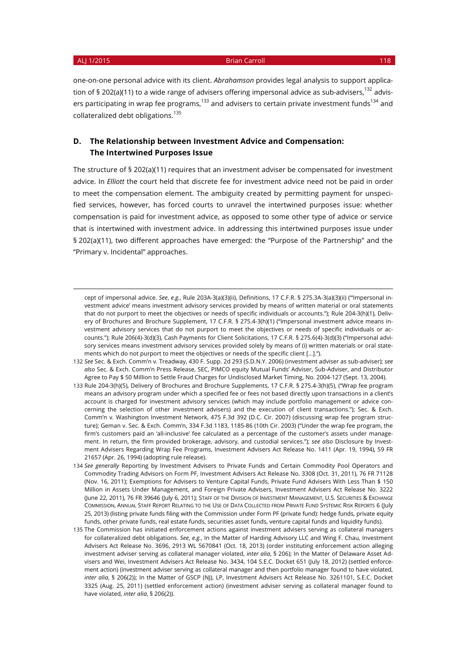-

#### ALJ 1/2015 **Brian Carroll 118**

one-on-one personal advice with its client. *Abrahamson* provides legal analysis to support application of § 202(a)(11) to a wide range of advisers offering impersonal advice as sub-advisers.<sup>132</sup> advisers participating in wrap fee programs, $133$  and advisers to certain private investment funds $134$  and collateralized debt obligations.<sup>135</sup>

## **D. The Relationship between Investment Advice and Compensation: The Intertwined Purposes Issue**

The structure of § 202(a)(11) requires that an investment adviser be compensated for investment advice. In *Elliott* the court held that discrete fee for investment advice need not be paid in order to meet the compensation element. The ambiguity created by permitting payment for unspecified services, however, has forced courts to unravel the intertwined purposes issue: whether compensation is paid for investment advice, as opposed to some other type of advice or service that is intertwined with investment advice. In addressing this intertwined purposes issue under § 202(a)(11), two different approaches have emerged: the "Purpose of the Partnership" and the "Primary v. Incidental" approaches.

cept of impersonal advice. *See*, *e.g.*, Rule 203A-3(a)(3)(ii), Definitions, 17 C.F.R. § 275.3A-3(a)(3)(ii) ("'Impersonal investment advice' means investment advisory services provided by means of written material or oral statements that do not purport to meet the objectives or needs of specific individuals or accounts."); Rule 204-3(h)(1), Delivery of Brochures and Brochure Supplement, 17 C.F.R. § 275.4-3(h)(1) ("Impersonal investment advice means investment advisory services that do not purport to meet the objectives or needs of specific individuals or accounts."); Rule 206(4)-3(d)(3), Cash Payments for Client Solicitations, 17 C.F.R. § 275.6(4)-3(d)(3) ("Impersonal advisory services means investment advisory services provided solely by means of (i) written materials or oral statements which do not purport to meet the objectives or needs of the specific client […].").

<sup>132</sup> *See* Sec. & Exch. Comm'n v. Treadway, 430 F. Supp. 2d 293 (S.D.N.Y. 2006) (investment adviser as sub-adviser); *see also* Sec. & Exch. Comm'n Press Release, SEC, PIMCO equity Mutual Funds' Adviser, Sub-Adviser, and Distributor Agree to Pay \$ 50 Million to Settle Fraud Charges for Undisclosed Market Timing, No. 2004-127 (Sept. 13, 2004).

<sup>133</sup> Rule 204-3(h)(5), Delivery of Brochures and Brochure Supplements, 17 C.F.R. § 275.4-3(h)(5), ("Wrap fee program means an advisory program under which a specified fee or fees not based directly upon transactions in a client's account is charged for investment advisory services (which may include portfolio management or advice concerning the selection of other investment advisers) and the execution of client transactions."); Sec. & Exch. Comm'n v. Washington Investment Network, 475 F.3d 392 (D.C. Cir. 2007) (discussing wrap fee program structure); Geman v. Sec. & Exch. Comm'n, 334 F.3d 1183, 1185-86 (10th Cir. 2003) ("Under the wrap fee program, the firm's customers paid an 'all-inclusive' fee calculated as a percentage of the customer's assets under management. In return, the firm provided brokerage, advisory, and custodial services."); *see also* Disclosure by Investment Advisers Regarding Wrap Fee Programs, Investment Advisers Act Release No. 1411 (Apr. 19, 1994), 59 FR 21657 (Apr. 26, 1994) (adopting rule release).

<sup>134</sup> *See generally* Reporting by Investment Advisers to Private Funds and Certain Commodity Pool Operators and Commodity Trading Advisors on Form PF, Investment Advisers Act Release No. 3308 (Oct. 31, 2011), 76 FR 71128 (Nov. 16, 2011); Exemptions for Advisers to Venture Capital Funds, Private Fund Advisers With Less Than \$ 150 Million in Assets Under Management, and Foreign Private Advisers, Investment Advisers Act Release No. 3222 (June 22, 2011), 76 FR 39646 (July 6, 2011); STAFF OF THE DIVISION OF INVESTMENT MANAGEMENT, U.S. SECURITIES & EXCHANGE COMMISSION, ANNUAL STAFF REPORT RELATING TO THE USE OF DATA COLLECTED FROM PRIVATE FUND SYSTEMIC RISK REPORTS 6 (July 25, 2013) (listing private funds filing with the Commission under Form PF (private fund): hedge funds, private equity funds, other private funds, real estate funds, securities asset funds, venture capital funds and liquidity funds).

<sup>135</sup> The Commission has initiated enforcement actions against investment advisers serving as collateral managers for collateralized debt obligations. *See*, *e.g.*, In the Matter of Harding Advisory LLC and Wing F. Chau, Investment Advisers Act Release No. 3696, 2913 WL 5670841 (Oct. 18, 2013) (order instituting enforcement action alleging investment adviser serving as collateral manager violated, *inter alia*, § 206); In the Matter of Delaware Asset Advisers and Wei, Investment Advisers Act Release No. 3434, 104 S.E.C. Docket 651 (July 18, 2012) (settled enforcement action) (investment adviser serving as collateral manager and then portfolio manager found to have violated, *inter alia*, § 206(2)); In the Matter of GSCP (NJ), LP, Investment Advisers Act Release No. 3261101, S.E.C. Docket 3325 (Aug. 25, 2011) (settled enforcement action) (investment adviser serving as collateral manager found to have violated, *inter alia*, § 206(2)).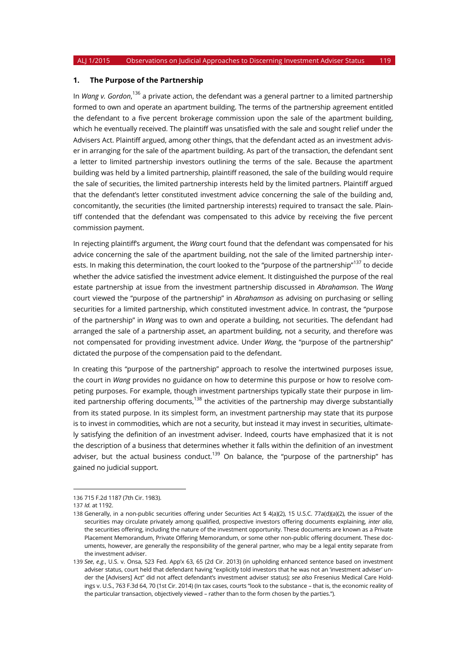#### **1. The Purpose of the Partnership**

In *Wang v. Gordon*, <sup>136</sup> a private action, the defendant was a general partner to a limited partnership formed to own and operate an apartment building. The terms of the partnership agreement entitled the defendant to a five percent brokerage commission upon the sale of the apartment building, which he eventually received. The plaintiff was unsatisfied with the sale and sought relief under the Advisers Act. Plaintiff argued, among other things, that the defendant acted as an investment adviser in arranging for the sale of the apartment building. As part of the transaction, the defendant sent a letter to limited partnership investors outlining the terms of the sale. Because the apartment building was held by a limited partnership, plaintiff reasoned, the sale of the building would require the sale of securities, the limited partnership interests held by the limited partners. Plaintiff argued that the defendant's letter constituted investment advice concerning the sale of the building and, concomitantly, the securities (the limited partnership interests) required to transact the sale. Plaintiff contended that the defendant was compensated to this advice by receiving the five percent commission payment.

In rejecting plaintiff's argument, the *Wang* court found that the defendant was compensated for his advice concerning the sale of the apartment building, not the sale of the limited partnership interests. In making this determination, the court looked to the "purpose of the partnership"<sup>137</sup> to decide whether the advice satisfied the investment advice element. It distinguished the purpose of the real estate partnership at issue from the investment partnership discussed in *Abrahamson*. The *Wang* court viewed the "purpose of the partnership" in *Abrahamson* as advising on purchasing or selling securities for a limited partnership, which constituted investment advice. In contrast, the "purpose of the partnership" in *Wang* was to own and operate a building, not securities. The defendant had arranged the sale of a partnership asset, an apartment building, not a security, and therefore was not compensated for providing investment advice. Under *Wang*, the "purpose of the partnership" dictated the purpose of the compensation paid to the defendant.

In creating this "purpose of the partnership" approach to resolve the intertwined purposes issue, the court in *Wang* provides no guidance on how to determine this purpose or how to resolve competing purposes. For example, though investment partnerships typically state their purpose in limited partnership offering documents,  $138$  the activities of the partnership may diverge substantially from its stated purpose. In its simplest form, an investment partnership may state that its purpose is to invest in commodities, which are not a security, but instead it may invest in securities, ultimately satisfying the definition of an investment adviser. Indeed, courts have emphasized that it is not the description of a business that determines whether it falls within the definition of an investment adviser, but the actual business conduct.<sup>139</sup> On balance, the "purpose of the partnership" has gained no judicial support.

<sup>136</sup> 715 F.2d 1187 (7th Cir. 1983).

<sup>137</sup> *Id.* at 1192.

<sup>138</sup> Generally, in a non-public securities offering under Securities Act § 4(a)(2), 15 U.S.C. 77a(d)(a)(2), the issuer of the securities may circulate privately among qualified, prospective investors offering documents explaining, *inter alia*, the securities offering, including the nature of the investment opportunity. These documents are known as a Private Placement Memorandum, Private Offering Memorandum, or some other non-public offering document. These documents, however, are generally the responsibility of the general partner, who may be a legal entity separate from the investment adviser.

<sup>139</sup> *See*, *e.g.*, U.S. v. Onsa, 523 Fed. App'x 63, 65 (2d Cir. 2013) (in upholding enhanced sentence based on investment adviser status, court held that defendant having "explicitly told investors that he was not an 'investment adviser' under the [Advisers] Act" did not affect defendant's investment adviser status); *see also* Fresenius Medical Care Holdings v. U.S., 763 F.3d 64, 70 (1st Cir. 2014) (In tax cases, courts "look to the substance – that is, the economic reality of the particular transaction, objectively viewed – rather than to the form chosen by the parties.").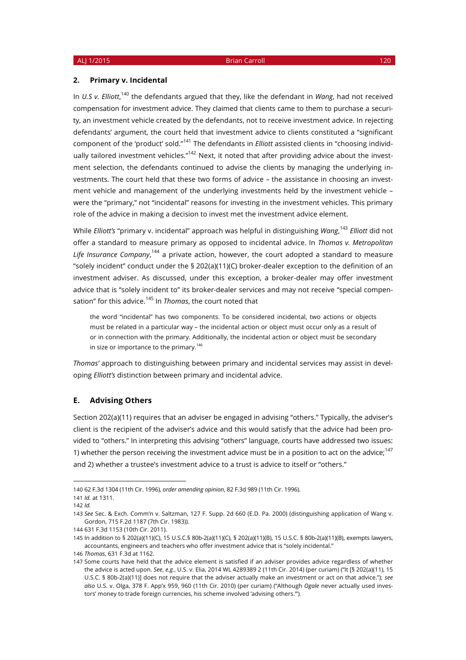#### **2. Primary v. Incidental**

In *U.S v. Elliott*,<sup>140</sup> the defendants argued that they, like the defendant in *Wang*, had not received compensation for investment advice. They claimed that clients came to them to purchase a security, an investment vehicle created by the defendants, not to receive investment advice. In rejecting defendants' argument, the court held that investment advice to clients constituted a "significant component of the 'product' sold."<sup>141</sup> The defendants in *Elliott* assisted clients in "choosing individually tailored investment vehicles."<sup>142</sup> Next, it noted that after providing advice about the investment selection, the defendants continued to advise the clients by managing the underlying investments. The court held that these two forms of advice – the assistance in choosing an investment vehicle and management of the underlying investments held by the investment vehicle – were the "primary," not "incidental" reasons for investing in the investment vehicles. This primary role of the advice in making a decision to invest met the investment advice element.

While *Elliott's* "primary v. incidental" approach was helpful in distinguishing *Wang*, <sup>143</sup> *Elliott* did not offer a standard to measure primary as opposed to incidental advice. In *Thomas v. Metropolitan Life Insurance Company*, <sup>144</sup> a private action, however, the court adopted a standard to measure "solely incident" conduct under the § 202(a)(11)(C) broker-dealer exception to the definition of an investment adviser. As discussed, under this exception, a broker-dealer may offer investment advice that is "solely incident to" its broker-dealer services and may not receive "special compensation" for this advice.<sup>145</sup> In *Thomas*, the court noted that

the word "incidental" has two components. To be considered incidental, two actions or objects must be related in a particular way – the incidental action or object must occur only as a result of or in connection with the primary. Additionally, the incidental action or object must be secondary in size or importance to the primary.<sup>146</sup>

*Thomas'* approach to distinguishing between primary and incidental services may assist in developing *Elliott's* distinction between primary and incidental advice.

### **E. Advising Others**

Section 202(a)(11) requires that an adviser be engaged in advising "others." Typically, the adviser's client is the recipient of the adviser's advice and this would satisfy that the advice had been provided to "others." In interpreting this advising "others" language, courts have addressed two issues: 1) whether the person receiving the investment advice must be in a position to act on the advice;<sup>147</sup> and 2) whether a trustee's investment advice to a trust is advice to itself or "others."

<sup>140</sup> 62 F.3d 1304 (11th Cir. 1996), *order amending opinion*, 82 F.3d 989 (11th Cir. 1996).

<sup>141</sup> *Id.* at 1311.

<sup>142</sup> *Id.*

<sup>143</sup> *See* Sec. & Exch. Comm'n v. Saltzman, 127 F. Supp. 2d 660 (E.D. Pa. 2000) (distinguishing application of Wang v. Gordon, 715 F.2d 1187 (7th Cir. 1983)).

<sup>144</sup> 631 F.3d 1153 (10th Cir. 2011).

<sup>145</sup> In addition to § 202(a)(11)(C), 15 U.S.C.§ 80b-2(a)(11)(C), § 202(a)(11)(B), 15 U.S.C. § 80b-2(a)(11)(B), exempts lawyers, accountants, engineers and teachers who offer investment advice that is "solely incidental."

<sup>146</sup> *Thomas*, 631 F.3d at 1162.

<sup>147</sup> Some courts have held that the advice element is satisfied if an adviser provides advice regardless of whether the advice is acted upon. *See*, *e.g.*, U.S. v. Elia, 2014 WL 4289389 2 (11th Cir. 2014) (per curiam) ("It [§ 202(a)(11), 15 U.S.C. § 80b-2(a)(11)] does not require that the adviser actually make an investment or act on that advice."); *see also* U.S. v. Olga, 378 F. App'x 959, 960 (11th Cir. 2010) (per curiam) ("Although *Ogale* never actually used investors' money to trade foreign currencies, his scheme involved 'advising others.'").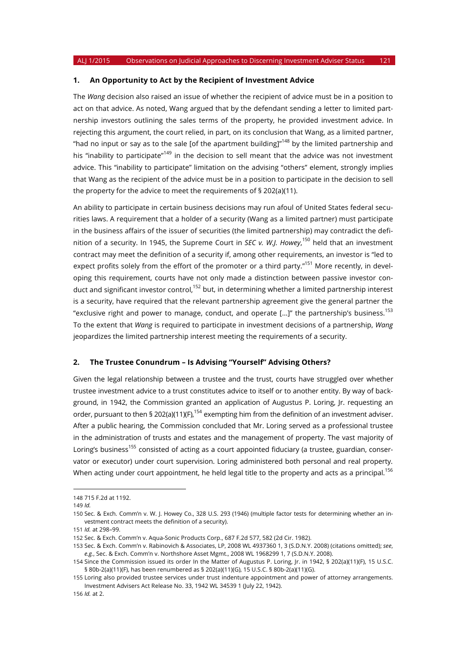#### **1. An Opportunity to Act by the Recipient of Investment Advice**

The *Wang* decision also raised an issue of whether the recipient of advice must be in a position to act on that advice. As noted, Wang argued that by the defendant sending a letter to limited partnership investors outlining the sales terms of the property, he provided investment advice. In rejecting this argument, the court relied, in part, on its conclusion that Wang, as a limited partner, "had no input or say as to the sale [of the apartment building]"<sup>148</sup> by the limited partnership and his "inability to participate"<sup>149</sup> in the decision to sell meant that the advice was not investment advice. This "inability to participate" limitation on the advising "others" element, strongly implies that Wang as the recipient of the advice must be in a position to participate in the decision to sell the property for the advice to meet the requirements of § 202(a)(11).

An ability to participate in certain business decisions may run afoul of United States federal securities laws. A requirement that a holder of a security (Wang as a limited partner) must participate in the business affairs of the issuer of securities (the limited partnership) may contradict the definition of a security. In 1945, the Supreme Court in *SEC v. W.J. Howey*, <sup>150</sup> held that an investment contract may meet the definition of a security if, among other requirements, an investor is "led to expect profits solely from the effort of the promoter or a third party."<sup>151</sup> More recently, in developing this requirement, courts have not only made a distinction between passive investor conduct and significant investor control,<sup>152</sup> but, in determining whether a limited partnership interest is a security, have required that the relevant partnership agreement give the general partner the "exclusive right and power to manage, conduct, and operate [...]" the partnership's business.<sup>153</sup> To the extent that *Wang* is required to participate in investment decisions of a partnership, *Wang* jeopardizes the limited partnership interest meeting the requirements of a security.

#### **2. The Trustee Conundrum – Is Advising "Yourself" Advising Others?**

Given the legal relationship between a trustee and the trust, courts have struggled over whether trustee investment advice to a trust constitutes advice to itself or to another entity. By way of background, in 1942, the Commission granted an application of Augustus P. Loring, Jr. requesting an order, pursuant to then § 202(a)(11)(F),  $154$  exempting him from the definition of an investment adviser. After a public hearing, the Commission concluded that Mr. Loring served as a professional trustee in the administration of trusts and estates and the management of property. The vast majority of Loring's business<sup>155</sup> consisted of acting as a court appointed fiduciary (a trustee, guardian, conservator or executor) under court supervision. Loring administered both personal and real property. When acting under court appointment, he held legal title to the property and acts as a principal.<sup>156</sup>

<sup>148</sup> 715 F.2d at 1192.

<sup>149</sup> *Id.*

<sup>150</sup> Sec. & Exch. Comm'n v. W. J. Howey Co., 328 U.S. 293 (1946) (multiple factor tests for determining whether an investment contract meets the definition of a security).

<sup>151</sup> *Id.* at 298–99.

<sup>152</sup> Sec. & Exch. Comm'n v. Aqua-Sonic Products Corp., 687 F.2d 577, 582 (2d Cir. 1982).

<sup>153</sup> Sec. & Exch. Comm'n v. Rabinovich & Associates, LP, 2008 WL 4937360 1, 3 (S.D.N.Y. 2008) (citations omitted); *see*, *e.g.*, Sec. & Exch. Comm'n v. Northshore Asset Mgmt., 2008 WL 1968299 1, 7 (S.D.N.Y. 2008).

<sup>154</sup> Since the Commission issued its order In the Matter of Augustus P. Loring, Jr. in 1942, § 202(a)(11)(F), 15 U.S.C. § 80b-2(a)(11)(F), has been renumbered as § 202(a)(11)(G), 15 U.S.C. § 80b-2(a)(11)(G).

<sup>155</sup> Loring also provided trustee services under trust indenture appointment and power of attorney arrangements. Investment Advisers Act Release No. 33, 1942 WL 34539 1 (July 22, 1942).

<sup>156</sup> *Id.* at 2.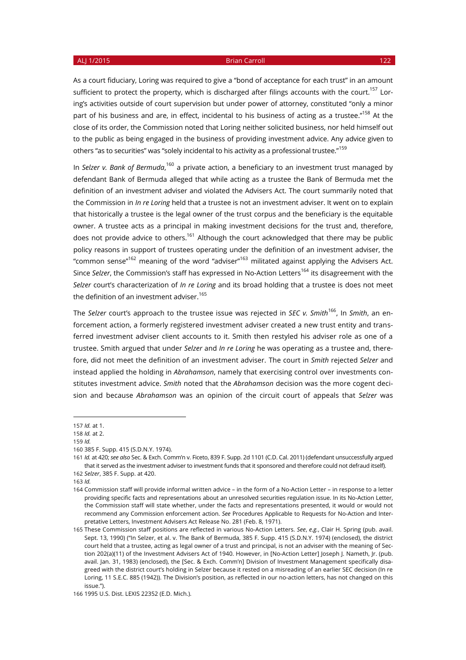As a court fiduciary, Loring was required to give a "bond of acceptance for each trust" in an amount sufficient to protect the property, which is discharged after filings accounts with the court.<sup>157</sup> Loring's activities outside of court supervision but under power of attorney, constituted "only a minor part of his business and are, in effect, incidental to his business of acting as a trustee."<sup>158</sup> At the close of its order, the Commission noted that Loring neither solicited business, nor held himself out to the public as being engaged in the business of providing investment advice. Any advice given to

others "as to securities" was "solely incidental to his activity as a professional trustee."<sup>159</sup>

In Selzer v. Bank of Bermuda,<sup>160</sup> a private action, a beneficiary to an investment trust managed by defendant Bank of Bermuda alleged that while acting as a trustee the Bank of Bermuda met the definition of an investment adviser and violated the Advisers Act. The court summarily noted that the Commission in *In re Loring* held that a trustee is not an investment adviser. It went on to explain that historically a trustee is the legal owner of the trust corpus and the beneficiary is the equitable owner. A trustee acts as a principal in making investment decisions for the trust and, therefore, does not provide advice to others.<sup>161</sup> Although the court acknowledged that there may be public policy reasons in support of trustees operating under the definition of an investment adviser, the "common sense" $^{162}$  meaning of the word "adviser" $^{163}$  militated against applying the Advisers Act. Since *Selzer*, the Commission's staff has expressed in No-Action Letters<sup>164</sup> its disagreement with the *Selzer* court's characterization of *In re Loring* and its broad holding that a trustee is does not meet the definition of an investment adviser.<sup>165</sup>

The *Selzer* court's approach to the trustee issue was rejected in *SEC v. Smith*<sup>166</sup>, In *Smith*, an enforcement action, a formerly registered investment adviser created a new trust entity and transferred investment adviser client accounts to it. Smith then restyled his adviser role as one of a trustee. Smith argued that under *Selzer* and *In re Loring* he was operating as a trustee and, therefore, did not meet the definition of an investment adviser. The court in *Smith* rejected *Selzer* and instead applied the holding in *Abrahamson*, namely that exercising control over investments constitutes investment advice. *Smith* noted that the *Abrahamson* decision was the more cogent decision and because *Abrahamson* was an opinion of the circuit court of appeals that *Selzer* was

163 *Id.*

 $\overline{a}$ 157 *Id.* at 1.

<sup>158</sup> *Id.* at 2.

<sup>159</sup> *Id.*

<sup>160</sup> 385 F. Supp. 415 (S.D.N.Y. 1974).

<sup>161</sup> *Id.* at 420; *see also* Sec. & Exch. Comm'n v. Ficeto, 839 F. Supp. 2d 1101 (C.D. Cal. 2011) (defendant unsuccessfully argued that it served as the investment adviser to investment funds that it sponsored and therefore could not defraud itself). 162 *Selzer*, 385 F. Supp. at 420.

<sup>164</sup> Commission staff will provide informal written advice – in the form of a No-Action Letter – in response to a letter providing specific facts and representations about an unresolved securities regulation issue. In its No-Action Letter, the Commission staff will state whether, under the facts and representations presented, it would or would not recommend any Commission enforcement action. *See* Procedures Applicable to Requests for No-Action and Interpretative Letters, Investment Advisers Act Release No. 281 (Feb. 8, 1971).

<sup>165</sup> These Commission staff positions are reflected in various No-Action Letters. *See*, *e.g.*, Clair H. Spring (pub. avail. Sept. 13, 1990) ("In Selzer, et al. v. The Bank of Bermuda, 385 F. Supp. 415 (S.D.N.Y. 1974) (enclosed), the district court held that a trustee, acting as legal owner of a trust and principal, is not an adviser with the meaning of Section 202(a)(11) of the Investment Advisers Act of 1940. However, in [No-Action Letter] Joseph J. Nameth, Jr. (pub. avail. Jan. 31, 1983) (enclosed), the [Sec. & Exch. Comm'n] Division of Investment Management specifically disagreed with the district court's holding in Selzer because it rested on a misreading of an earlier SEC decision (In re Loring, 11 S.E.C. 885 (1942)). The Division's position, as reflected in our no-action letters, has not changed on this issue.").

<sup>166</sup> 1995 U.S. Dist. LEXIS 22352 (E.D. Mich.).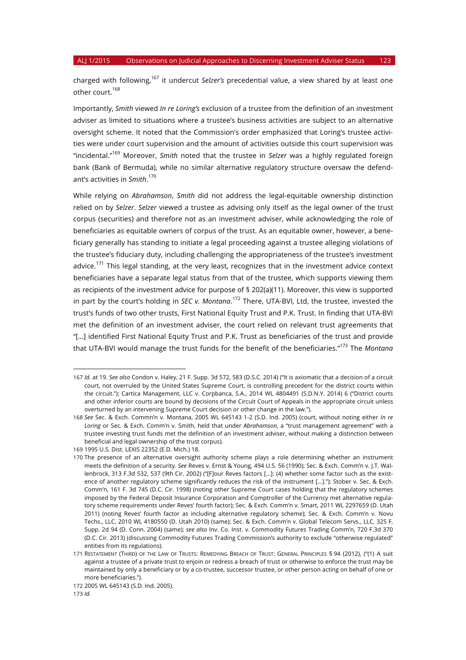charged with following,<sup>167</sup> it undercut *Selzer's* precedential value, a view shared by at least one other court.<sup>168</sup>

Importantly, *Smith* viewed *In re Loring's* exclusion of a trustee from the definition of an investment adviser as limited to situations where a trustee's business activities are subject to an alternative oversight scheme. It noted that the Commission's order emphasized that Loring's trustee activities were under court supervision and the amount of activities outside this court supervision was "incidental."<sup>169</sup> Moreover, *Smith* noted that the trustee in *Selzer* was a highly regulated foreign bank (Bank of Bermuda), while no similar alternative regulatory structure oversaw the defendant's activities in *Smith*. 170

While relying on *Abrahamson*, *Smith* did not address the legal-equitable ownership distinction relied on by *Selzer*. *Selzer* viewed a trustee as advising only itself as the legal owner of the trust corpus (securities) and therefore not as an investment adviser, while acknowledging the role of beneficiaries as equitable owners of corpus of the trust. As an equitable owner, however, a beneficiary generally has standing to initiate a legal proceeding against a trustee alleging violations of the trustee's fiduciary duty, including challenging the appropriateness of the trustee's investment advice.<sup>171</sup> This legal standing, at the very least, recognizes that in the investment advice context beneficiaries have a separate legal status from that of the trustee, which supports viewing them as recipients of the investment advice for purpose of § 202(a)(11). Moreover, this view is supported in part by the court's holding in *SEC v. Montana*. <sup>172</sup> There, UTA-BVI, Ltd, the trustee, invested the trust's funds of two other trusts, First National Equity Trust and P.K. Trust. In finding that UTA-BVI met the definition of an investment adviser, the court relied on relevant trust agreements that "[…] identified First National Equity Trust and P.K. Trust as beneficiaries of the trust and provide that UTA-BVI would manage the trust funds for the benefit of the beneficiaries."173 The *Montana*

<sup>167</sup> *Id.* at 19. *See also* Condon v. Haley, 21 F. Supp. 3d 572, 583 (D.S.C. 2014) ("It is axiomatic that a decision of a circuit court, not overruled by the United States Supreme Court, is controlling precedent for the district courts within the circuit."); Cartica Management, LLC v. Corpbanca, S.A., 2014 WL 4804491 (S.D.N.Y. 2014) 6 ("District courts and other inferior courts are bound by decisions of the Circuit Court of Appeals in the appropriate circuit unless overturned by an intervening Supreme Court decision or other change in the law.").

<sup>168</sup> *See* Sec. & Exch. Commn'n v. Montana, 2005 WL 645143 1-2 (S.D. Ind. 2005) (court, without noting either *In re Loring* or Sec. & Exch. Comm'n v. Smith, held that under *Abrahamson*, a "trust management agreement" with a trustee investing trust funds met the definition of an investment adviser, without making a distinction between beneficial and legal ownership of the trust corpus).

<sup>169</sup> 1995 U.S. Dist. LEXIS 22352 (E.D. Mich.) 18.

<sup>170</sup> The presence of an alternative oversight authority scheme plays a role determining whether an instrument meets the definition of a security. *See* Reves v. Ernst & Young, 494 U.S. 56 (1990); Sec. & Exch. Comm'n v. J.T. Wallenbrock, 313 F.3d 532, 537 (9th Cir. 2002) ("[F]our Reves factors [...]: (4) whether some factor such as the existence of another regulatory scheme significantly reduces the risk of the instrument […]."); Stober v. Sec. & Exch. Comm'n, 161 F. 3d 745 (D.C. Cir. 1998) (noting other Supreme Court cases holding that the regulatory schemes imposed by the Federal Deposit Insurance Corporation and Comptroller of the Currency met alternative regulatory scheme requirements under Reves' fourth factor); Sec. & Exch. Comm'n v. Smart, 2011 WL 2297659 (D. Utah 2011) (noting Reves' fourth factor as including alternative regulatory scheme); Sec. & Exch. Comm'n v. Novu Techs., LLC, 2010 WL 4180550 (D. Utah 2010) (same); Sec. & Exch. Comm'n v. Global Telecom Servs., LLC, 325 F. Supp. 2d 94 (D. Conn. 2004) (same); *see also* Inv. Co. Inst. v. Commodity Futures Trading Comm'n, 720 F.3d 370 (D.C. Cir. 2013) (discussing Commodity Futures Trading Commission's authority to exclude "otherwise regulated" entities from its regulations).

<sup>171</sup> RESTATEMENT (THIRD) OF THE LAW OF TRUSTS: REMEDYING BREACH OF TRUST: GENERAL PRINCIPLES § 94 (2012), ("(1) A suit against a trustee of a private trust to enjoin or redress a breach of trust or otherwise to enforce the trust may be maintained by only a beneficiary or by a co-trustee, successor trustee, or other person acting on behalf of one or more beneficiaries.").

<sup>172</sup> 2005 WL 645143 (S.D. Ind. 2005).

<sup>173</sup> *Id.*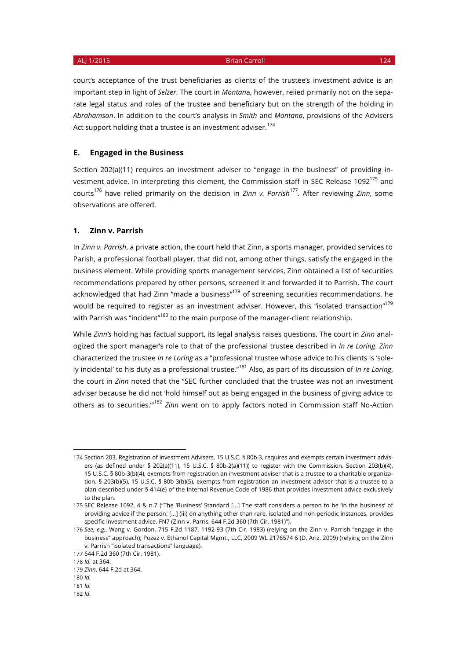court's acceptance of the trust beneficiaries as clients of the trustee's investment advice is an important step in light of *Selzer*. The court in *Montan*a, however, relied primarily not on the separate legal status and roles of the trustee and beneficiary but on the strength of the holding in *Abrahamson*. In addition to the court's analysis in *Smith* and *Montana*, provisions of the Advisers Act support holding that a trustee is an investment adviser.<sup>174</sup>

### **E. Engaged in the Business**

Section 202(a)(11) requires an investment adviser to "engage in the business" of providing investment advice. In interpreting this element, the Commission staff in SEC Release 1092<sup>175</sup> and courts<sup>176</sup> have relied primarily on the decision in *Zinn v. Parrish*177. After reviewing *Zinn*, some observations are offered.

#### **1. Zinn v. Parrish**

In *Zinn v. Parrish*, a private action, the court held that Zinn, a sports manager, provided services to Parish, a professional football player, that did not, among other things, satisfy the engaged in the business element. While providing sports management services, Zinn obtained a list of securities recommendations prepared by other persons, screened it and forwarded it to Parrish. The court acknowledged that had Zinn "made a business"<sup>178</sup> of screening securities recommendations, he would be required to register as an investment adviser. However, this "isolated transaction"<sup>179</sup> with Parrish was "incident"<sup>180</sup> to the main purpose of the manager-client relationship.

While *Zinn's* holding has factual support, its legal analysis raises questions. The court in *Zinn* analogized the sport manager's role to that of the professional trustee described in *In re Loring*. *Zinn* characterized the trustee *In re Loring* as a "professional trustee whose advice to his clients is 'solely incidental' to his duty as a professional trustee."<sup>181</sup> Also, as part of its discussion of *In re Loring*, the court in *Zinn* noted that the "SEC further concluded that the trustee was not an investment adviser because he did not 'hold himself out as being engaged in the business of giving advice to others as to securities.'"<sup>182</sup> *Zinn* went on to apply factors noted in Commission staff No-Action

<sup>174</sup> Section 203, Registration of Investment Advisers, 15 U.S.C. § 80b-3, requires and exempts certain investment advisers (as defined under § 202(a)(11), 15 U.S.C. § 80b-2(a)(11)) to register with the Commission. Section 203(b)(4), 15 U.S.C. § 80b-3(b)(4), exempts from registration an investment adviser that is a trustee to a charitable organization. § 203(b)(5), 15 U.S.C. § 80b-3(b)(5), exempts from registration an investment adviser that is a trustee to a plan described under § 414(e) of the Internal Revenue Code of 1986 that provides investment advice exclusively to the plan.

<sup>175</sup> SEC Release 1092, 4 & n.7 ("The 'Business' Standard [...] The staff considers a person to be 'in the business' of providing advice if the person: [...] (iii) on anything other than rare, isolated and non-periodic instances, provides specific investment advice. FN7 (Zinn v. Parris, 644 F.2d 360 (7th Cir. 1981)").

<sup>176</sup> *See*, *e.g.*, Wang v. Gordon, 715 F.2d 1187, 1192-93 (7th Cir. 1983) (relying on the Zinn v. Parrish "engage in the business" approach); Pozez v. Ethanol Capital Mgmt., LLC, 2009 WL 2176574 6 (D. Ariz. 2009) (relying on the Zinn v. Parrish "isolated transactions" language).

<sup>177</sup> 644 F.2d 360 (7th Cir. 1981).

<sup>178</sup> *Id.* at 364.

<sup>179</sup> *Zinn*, 644 F.2d at 364.

<sup>180</sup> *Id.*

<sup>181</sup> *Id.* 

<sup>182</sup> *Id.*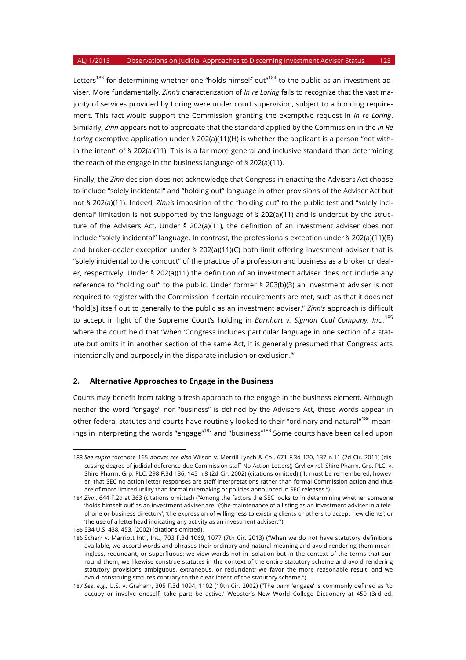Letters<sup>183</sup> for determining whether one "holds himself out"<sup>184</sup> to the public as an investment adviser. More fundamentally, *Zinn's* characterization of *In re Loring* fails to recognize that the vast majority of services provided by Loring were under court supervision, subject to a bonding requirement. This fact would support the Commission granting the exemptive request in *In re Loring*. Similarly, *Zinn* appears not to appreciate that the standard applied by the Commission in the *In Re Loring* exemptive application under § 202(a)(11)(H) is whether the applicant is a person "not within the intent" of § 202(a)(11). This is a far more general and inclusive standard than determining the reach of the engage in the business language of § 202(a)(11).

Finally, the *Zinn* decision does not acknowledge that Congress in enacting the Advisers Act choose to include "solely incidental" and "holding out" language in other provisions of the Adviser Act but not § 202(a)(11). Indeed, *Zinn's* imposition of the "holding out" to the public test and "solely incidental" limitation is not supported by the language of § 202(a)(11) and is undercut by the structure of the Advisers Act. Under § 202(a)(11), the definition of an investment adviser does not include "solely incidental" language. In contrast, the professionals exception under § 202(a)(11)(B) and broker-dealer exception under § 202(a)(11)(C) both limit offering investment adviser that is "solely incidental to the conduct" of the practice of a profession and business as a broker or dealer, respectively. Under § 202(a)(11) the definition of an investment adviser does not include any reference to "holding out" to the public. Under former § 203(b)(3) an investment adviser is not required to register with the Commission if certain requirements are met, such as that it does not "hold[s] itself out to generally to the public as an investment adviser." *Zinn's* approach is difficult to accept in light of the Supreme Court's holding in *Barnhart v. Sigmon Coal Company, Inc.*, 185 where the court held that "when 'Congress includes particular language in one section of a statute but omits it in another section of the same Act, it is generally presumed that Congress acts intentionally and purposely in the disparate inclusion or exclusion.'"

### **2. Alternative Approaches to Engage in the Business**

Courts may benefit from taking a fresh approach to the engage in the business element. Although neither the word "engage" nor "business" is defined by the Advisers Act, these words appear in other federal statutes and courts have routinely looked to their "ordinary and natural"<sup>186</sup> meanings in interpreting the words "engage"<sup>187</sup> and "business"<sup>188</sup> Some courts have been called upon

<sup>183</sup> *See supra* footnote 165 above; *see also* Wilson v. Merrill Lynch & Co., 671 F.3d 120, 137 n.11 (2d Cir. 2011) (discussing degree of judicial deference due Commission staff No-Action Letters); Gryl ex rel. Shire Pharm. Grp. PLC. v. Shire Pharm. Grp. PLC, 298 F.3d 136, 145 n.8 (2d Cir. 2002) (citations omitted) ("It must be remembered, however, that SEC no action letter responses are staff interpretations rather than formal Commission action and thus are of more limited utility than formal rulemaking or policies announced in SEC releases.").

<sup>184</sup> *Zinn*, 644 F.2d at 363 (citations omitted) ("Among the factors the SEC looks to in determining whether someone 'holds himself out' as an investment adviser are: '(t)he maintenance of a listing as an investment adviser in a telephone or business directory'; 'the expression of willingness to existing clients or others to accept new clients'; or 'the use of a letterhead indicating any activity as an investment adviser.'").

<sup>185</sup> 534 U.S. 438, 453, (2002) (citations omitted).

<sup>186</sup> Scherr v. Marriott Int'l, Inc., 703 F.3d 1069, 1077 (7th Cir. 2013) ("When we do not have statutory definitions available, we accord words and phrases their ordinary and natural meaning and avoid rendering them meaningless, redundant, or superfluous; we view words not in isolation but in the context of the terms that surround them; we likewise construe statutes in the context of the entire statutory scheme and avoid rendering statutory provisions ambiguous, extraneous, or redundant; we favor the more reasonable result; and we avoid construing statutes contrary to the clear intent of the statutory scheme.").

<sup>187</sup> *See*, *e.g.*, U.S. v. Graham, 305 F.3d 1094, 1102 (10th Cir. 2002) ("The term 'engage' is commonly defined as 'to occupy or involve oneself; take part; be active.' Webster's New World College Dictionary at 450 (3rd ed.